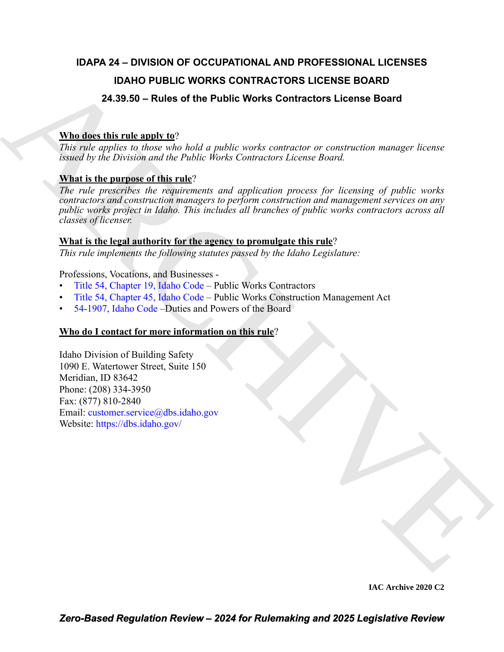# **IDAPA 24 – DIVISION OF OCCUPATIONAL AND PROFESSIONAL LICENSES IDAHO PUBLIC WORKS CONTRACTORS LICENSE BOARD 24.39.50 – Rules of the Public Works Contractors License Board**

# **Who does this rule apply to**?

*This rule applies to those who hold a public works contractor or construction manager license issued by the Division and the Public Works Contractors License Board.* 

# **What is the purpose of this rule**?

**IDAHO PUBLI[C](https://legislature.idaho.gov/statutesrules/idstat/Title54/T54CH19/) WORKS CONTRACTORS LICENSE BOARD**<br>
24.39.59 - Rules of the Public Works Contractors License Board<br>
Where the transition is a public works contractors through the contractors of the state of the properties of *The rule prescribes the requirements and application process for licensing of public works contractors and construction managers to perform construction and management services on any public works project in Idaho. This includes all branches of public works contractors across all classes of licenser.* 

# **What is the legal authority for the agency to promulgate this rule**?

*This rule implements the following statutes passed by the Idaho Legislature:*

Professions, Vocations, and Businesses -

- Title 54, Chapter 19, Idaho Code Public Works Contractors
- Title 54, Chapter 45, Idaho Code Public Works Construction Management Act
- 54-1907, Idaho Code –Duties and Powers of the Board

# **Who do I contact for more information on this rule**?

Idaho Division of Building Safety 1090 E. Watertower Street, Suite 150 Meridian, ID 83642 Phone: (208) 334-3950 Fax: (877) 810-2840 Email: customer.service@dbs.idaho.gov Website: https://dbs.idaho.gov/

**IAC Archive 2020 C2**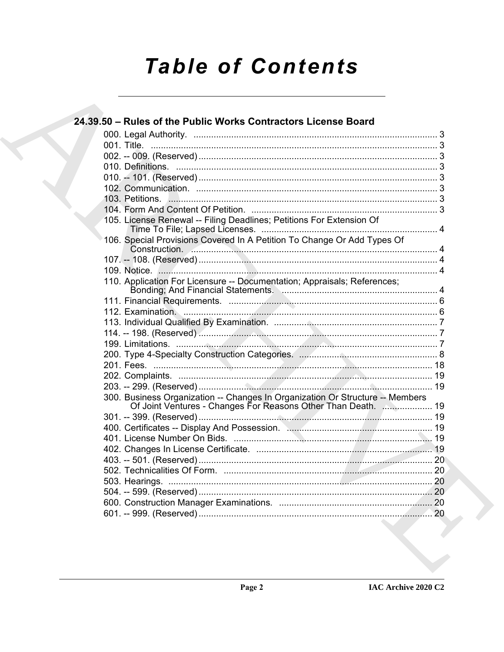# **Table of Contents**

| 24.39.50 - Rules of the Public Works Contractors License Board                                                                                 |  |
|------------------------------------------------------------------------------------------------------------------------------------------------|--|
|                                                                                                                                                |  |
|                                                                                                                                                |  |
|                                                                                                                                                |  |
|                                                                                                                                                |  |
|                                                                                                                                                |  |
|                                                                                                                                                |  |
|                                                                                                                                                |  |
|                                                                                                                                                |  |
| 105. License Renewal -- Filing Deadlines; Petitions For Extension Of                                                                           |  |
| 106. Special Provisions Covered In A Petition To Change Or Add Types Of                                                                        |  |
|                                                                                                                                                |  |
|                                                                                                                                                |  |
| 110. Application For Licensure -- Documentation; Appraisals; References;                                                                       |  |
|                                                                                                                                                |  |
|                                                                                                                                                |  |
|                                                                                                                                                |  |
|                                                                                                                                                |  |
|                                                                                                                                                |  |
|                                                                                                                                                |  |
|                                                                                                                                                |  |
|                                                                                                                                                |  |
|                                                                                                                                                |  |
| 300. Business Organization -- Changes In Organization Or Structure -- Members<br>Of Joint Ventures - Changes For Reasons Other Than Death.  19 |  |
|                                                                                                                                                |  |
|                                                                                                                                                |  |
|                                                                                                                                                |  |
|                                                                                                                                                |  |
|                                                                                                                                                |  |
|                                                                                                                                                |  |
|                                                                                                                                                |  |
|                                                                                                                                                |  |
|                                                                                                                                                |  |
|                                                                                                                                                |  |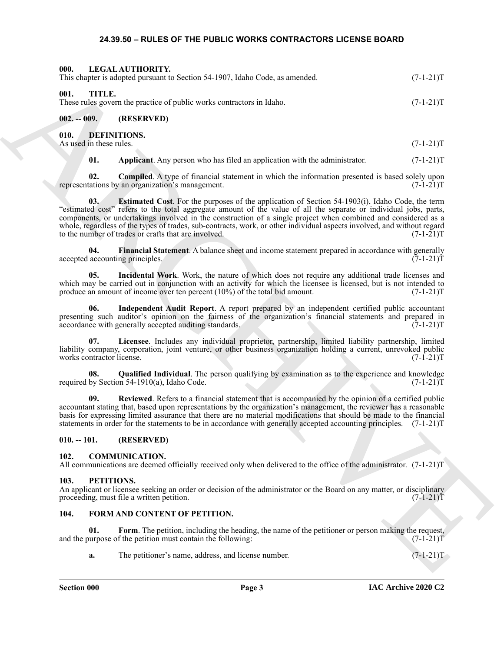#### <span id="page-2-24"></span><span id="page-2-22"></span><span id="page-2-14"></span><span id="page-2-13"></span><span id="page-2-12"></span><span id="page-2-11"></span><span id="page-2-10"></span><span id="page-2-1"></span><span id="page-2-0"></span>**24.39.50 – RULES OF THE PUBLIC WORKS CONTRACTORS LICENSE BOARD**

<span id="page-2-4"></span><span id="page-2-3"></span><span id="page-2-2"></span>

| 000.                                   | LEGAL AUTHORITY.<br>This chapter is adopted pursuant to Section 54-1907, Idaho Code, as amended.                                                                                                                                                                                                                                                                                                                                                                                                                                 | $(7-1-21)T$ |
|----------------------------------------|----------------------------------------------------------------------------------------------------------------------------------------------------------------------------------------------------------------------------------------------------------------------------------------------------------------------------------------------------------------------------------------------------------------------------------------------------------------------------------------------------------------------------------|-------------|
| 001.<br>TITLE.                         | These rules govern the practice of public works contractors in Idaho.                                                                                                                                                                                                                                                                                                                                                                                                                                                            | $(7-1-21)T$ |
| $002. - 009.$                          | (RESERVED)                                                                                                                                                                                                                                                                                                                                                                                                                                                                                                                       |             |
| 010.<br>As used in these rules.        | <b>DEFINITIONS.</b>                                                                                                                                                                                                                                                                                                                                                                                                                                                                                                              | $(7-1-21)T$ |
| 01.                                    | Applicant. Any person who has filed an application with the administrator.                                                                                                                                                                                                                                                                                                                                                                                                                                                       | $(7-1-21)T$ |
| 02.                                    | <b>Compiled.</b> A type of financial statement in which the information presented is based solely upon<br>representations by an organization's management.                                                                                                                                                                                                                                                                                                                                                                       | $(7-1-21)T$ |
| 03.                                    | <b>Estimated Cost.</b> For the purposes of the application of Section 54-1903(i), Idaho Code, the term<br>"estimated cost" refers to the total aggregate amount of the value of all the separate or individual jobs, parts,<br>components, or undertakings involved in the construction of a single project when combined and considered as a<br>whole, regardless of the types of trades, sub-contracts, work, or other individual aspects involved, and without regard<br>to the number of trades or crafts that are involved. | $(7-1-21)T$ |
| 04.<br>accepted accounting principles. | Financial Statement. A balance sheet and income statement prepared in accordance with generally                                                                                                                                                                                                                                                                                                                                                                                                                                  | $(7-1-21)T$ |
| 05.                                    | Incidental Work. Work, the nature of which does not require any additional trade licenses and<br>which may be carried out in conjunction with an activity for which the licensee is licensed, but is not intended to<br>produce an amount of income over ten percent $(10\%)$ of the total bid amount.                                                                                                                                                                                                                           | $(7-1-21)T$ |
| 06.                                    | Independent Audit Report. A report prepared by an independent certified public accountant<br>presenting such auditor's opinion on the fairness of the organization's financial statements and prepared in<br>accordance with generally accepted auditing standards.                                                                                                                                                                                                                                                              | $(7-1-21)T$ |
| 07.<br>works contractor license.       | Licensee. Includes any individual proprietor, partnership, limited liability partnership, limited<br>liability company, corporation, joint venture, or other business organization holding a current, unrevoked public                                                                                                                                                                                                                                                                                                           | $(7-1-21)T$ |
| 08.                                    | <b>Qualified Individual</b> . The person qualifying by examination as to the experience and knowledge<br>required by Section 54-1910(a), Idaho Code.                                                                                                                                                                                                                                                                                                                                                                             | $(7-1-21)T$ |
| 09.                                    | Reviewed. Refers to a financial statement that is accompanied by the opinion of a certified public<br>accountant stating that, based upon representations by the organization's management, the reviewer has a reasonable<br>basis for expressing limited assurance that there are no material modifications that should be made to the financial<br>statements in order for the statements to be in accordance with generally accepted accounting principles. (7-1-21)T                                                         |             |
| $010. - 101.$                          | (RESERVED)                                                                                                                                                                                                                                                                                                                                                                                                                                                                                                                       |             |
| 102.                                   | <b>COMMUNICATION.</b><br>All communications are deemed officially received only when delivered to the office of the administrator. $(7-1-21)$ T                                                                                                                                                                                                                                                                                                                                                                                  |             |
| 103.<br>PETITIONS.                     | An applicant or licensee seeking an order or decision of the administrator or the Board on any matter, or disciplinary<br>proceeding, must file a written petition.                                                                                                                                                                                                                                                                                                                                                              | $(7-1-21)T$ |
| 104.                                   | FORM AND CONTENT OF PETITION.                                                                                                                                                                                                                                                                                                                                                                                                                                                                                                    |             |
| 01.                                    | Form. The petition, including the heading, the name of the petitioner or person making the request,<br>and the purpose of the petition must contain the following:                                                                                                                                                                                                                                                                                                                                                               | $(7-1-21)T$ |
| a.                                     | The petitioner's name, address, and license number.                                                                                                                                                                                                                                                                                                                                                                                                                                                                              | $(7-1-21)T$ |
|                                        |                                                                                                                                                                                                                                                                                                                                                                                                                                                                                                                                  |             |

#### <span id="page-2-19"></span><span id="page-2-18"></span><span id="page-2-17"></span><span id="page-2-16"></span><span id="page-2-15"></span><span id="page-2-5"></span>**010. -- 101. (RESERVED)**

#### <span id="page-2-9"></span><span id="page-2-6"></span>**102. COMMUNICATION.**

#### <span id="page-2-23"></span><span id="page-2-7"></span>**103. PETITIONS.**

#### <span id="page-2-21"></span><span id="page-2-20"></span><span id="page-2-8"></span>**104. FORM AND CONTENT OF PETITION.**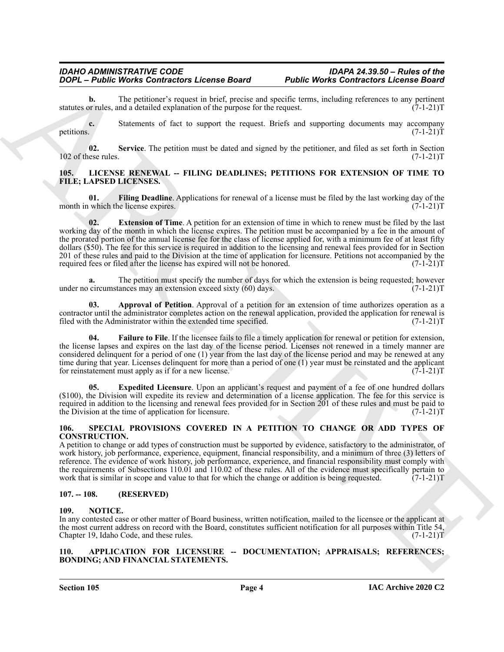**b.** The petitioner's request in brief, precise and specific terms, including references to any pertinent or rules, and a detailed explanation of the purpose for the request. (7-1-21) statutes or rules, and a detailed explanation of the purpose for the request.

**c.** Statements of fact to support the request. Briefs and supporting documents may accompany petitions.  $(7-1-21)T$ 

<span id="page-3-6"></span>**02.** Service. The petition must be dated and signed by the petitioner, and filed as set forth in Section (7-1-21)T  $102$  of these rules.

#### <span id="page-3-7"></span><span id="page-3-0"></span>**105. LICENSE RENEWAL -- FILING DEADLINES; PETITIONS FOR EXTENSION OF TIME TO FILE; LAPSED LICENSES.**

<span id="page-3-12"></span><span id="page-3-10"></span>**01.** Filing Deadline. Applications for renewal of a license must be filed by the last working day of the unich the license expires. month in which the license expires.

**2004** - *Platte Works Contractor License Board*<br> **2006** - *Platte Works Contractor License Board***<br>
<b>ARCHIVE CONTRACTS CONTRACTS (Platter and Contract Contracts Contracts Contracts Contracts Contracts Contracts Contr 02. Extension of Time**. A petition for an extension of time in which to renew must be filed by the last working day of the month in which the license expires. The petition must be accompanied by a fee in the amount of the prorated portion of the annual license fee for the class of license applied for, with a minimum fee of at least fifty dollars (\$50). The fee for this service is required in addition to the licensing and renewal fees provided for in Section 201 of these rules and paid to the Division at the time of application for licensure. Petitions not accompanied by the required fees or filed after the license has expired will not be honored. (7-1-21)T

**a.** The petition must specify the number of days for which the extension is being requested; however circumstances may an extension exceed sixty (60) days.  $(7-1-21)$ under no circumstances may an extension exceed sixty  $(60)$  days.

<span id="page-3-8"></span>**03. Approval of Petition**. Approval of a petition for an extension of time authorizes operation as a contractor until the administrator completes action on the renewal application, provided the application for renewal is filed with the Administrator within the extended time specified. (7-1-21)T

<span id="page-3-11"></span>**Failure to File**. If the licensee fails to file a timely application for renewal or petition for extension, the license lapses and expires on the last day of the license period. Licenses not renewed in a timely manner are considered delinquent for a period of one (1) year from the last day of the license period and may be renewed at any time during that year. Licenses delinquent for more than a period of one (1) year must be reinstated and the applicant for reinstatement must apply as if for a new license.  $(7-1-21)$ T

<span id="page-3-9"></span>**05. Expedited Licensure**. Upon an applicant's request and payment of a fee of one hundred dollars (\$100), the Division will expedite its review and determination of a license application. The fee for this service is required in addition to the licensing and renewal fees provided for in Section 201 of these rules and must be paid to the Division at the time of application for licensure. (7-1-21)T

#### <span id="page-3-14"></span><span id="page-3-1"></span>**106. SPECIAL PROVISIONS COVERED IN A PETITION TO CHANGE OR ADD TYPES OF CONSTRUCTION.**

A petition to change or add types of construction must be supported by evidence, satisfactory to the administrator, of work history, job performance, experience, equipment, financial responsibility, and a minimum of three (3) letters of reference. The evidence of work history, job performance, experience, and financial responsibility must comply with the requirements of Subsections 110.01 and 110.02 of these rules. All of the evidence must specifically pertain to work that is similar in scope and value to that for which the change or addition is being requested.  $(7-1-21)T$ 

#### <span id="page-3-2"></span>**107. -- 108. (RESERVED)**

#### <span id="page-3-13"></span><span id="page-3-3"></span>**109. NOTICE.**

In any contested case or other matter of Board business, written notification, mailed to the licensee or the applicant at the most current address on record with the Board, constitutes sufficient notification for all purposes within Title 54, Chapter 19, Idaho Code, and these rules. (7-1-21)T

#### <span id="page-3-5"></span><span id="page-3-4"></span>**110. APPLICATION FOR LICENSURE -- DOCUMENTATION; APPRAISALS; REFERENCES; BONDING; AND FINANCIAL STATEMENTS.**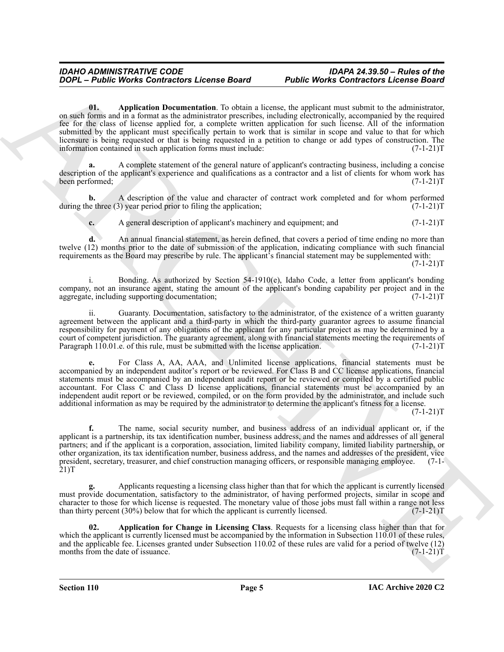<span id="page-4-0"></span>**01. Application Documentation**. To obtain a license, the applicant must submit to the administrator, on such forms and in a format as the administrator prescribes, including electronically, accompanied by the required fee for the class of license applied for, a complete written application for such license. All of the information submitted by the applicant must specifically pertain to work that is similar in scope and value to that for which licensure is being requested or that is being requested in a petition to change or add types of construction. The information contained in such application forms must include: (7-1-21) information contained in such application forms must include:

**a.** A complete statement of the general nature of applicant's contracting business, including a concise description of the applicant's experience and qualifications as a contractor and a list of clients for whom work has been performed; (7-1-21)T

**b.** A description of the value and character of contract work completed and for whom performed is three (3) year period prior to filing the application; (7-1-21) during the three  $(3)$  year period prior to filing the application;

**c.** A general description of applicant's machinery and equipment; and  $(7-1-21)$ T

**d.** An annual financial statement, as herein defined, that covers a period of time ending no more than twelve (12) months prior to the date of submission of the application, indicating compliance with such financial requirements as the Board may prescribe by rule. The applicant's financial statement may be supplemented with:

 $(7-1-21)T$ 

i. Bonding. As authorized by Section 54-1910(e), Idaho Code, a letter from applicant's bonding company, not an insurance agent, stating the amount of the applicant's bonding capability per project and in the aggregate, including supporting documentation; (7-1-21)T

ii. Guaranty. Documentation, satisfactory to the administrator, of the existence of a written guaranty agreement between the applicant and a third-party in which the third-party guarantor agrees to assume financial responsibility for payment of any obligations of the applicant for any particular project as may be determined by a court of competent jurisdiction. The guaranty agreement, along with financial statements meeting the requirements of<br>Paragraph 110.01.e. of this rule, must be submitted with the license application. (7-1-21) Paragraph  $110.01$ .e. of this rule, must be submitted with the license application.

**e.** For Class A, AA, AAA, and Unlimited license applications, financial statements must be accompanied by an independent auditor's report or be reviewed. For Class B and CC license applications, financial statements must be accompanied by an independent audit report or be reviewed or compiled by a certified public accountant. For Class C and Class D license applications, financial statements must be accompanied by an independent audit report or be reviewed, compiled, or on the form provided by the administrator, and include such additional information as may be required by the administrator to determine the applicant's fitness for a license.

 $(7-1-21)T$ 

**2004** - **Plutter Works Contractors Lecense Board**<br> **Public Works Contractors Lecense Board**<br> **Public Victoris Contractors Lecense Board**<br> **Public Victoris Contractors Actual Contractors Actual Contractors Actual Contract f.** The name, social security number, and business address of an individual applicant or, if the applicant is a partnership, its tax identification number, business address, and the names and addresses of all general partners; and if the applicant is a corporation, association, limited liability company, limited liability partnership, or other organization, its tax identification number, business address, and the names and addresses of other organization, its tax identification number, business address, and the names and addresses of the president, vice president, secretary, treasurer, and chief construction managing officers, or responsible managing employee. (7-1- 21)T

**g.** Applicants requesting a licensing class higher than that for which the applicant is currently licensed must provide documentation, satisfactory to the administrator, of having performed projects, similar in scope and character to those for which license is requested. The monetary value of those jobs must fall within a range not less<br>than thirty percent (30%) below that for which the applicant is currently licensed. (7-1-21) than thirty percent  $(30\%)$  below that for which the applicant is currently licensed.

<span id="page-4-1"></span>**02. Application for Change in Licensing Class**. Requests for a licensing class higher than that for which the applicant is currently licensed must be accompanied by the information in Subsection 110.01 of these rules, and the applicable fee. Licenses granted under Subsection 110.02 of these rules are valid for a period of twelve (12) months from the date of issuance.  $(7-1-21)$ T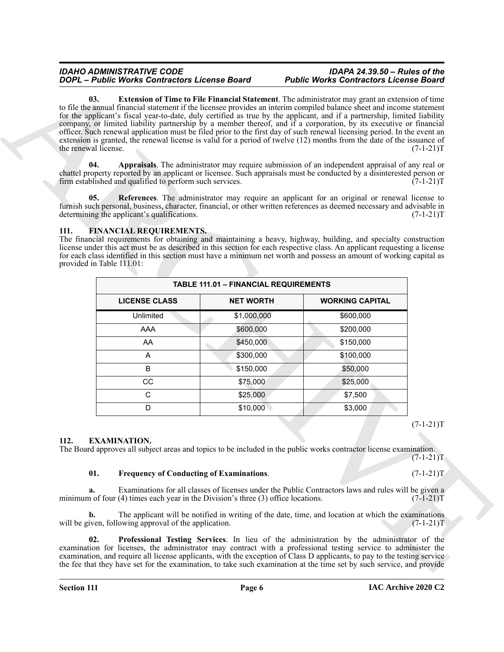#### <span id="page-5-8"></span><span id="page-5-4"></span><span id="page-5-2"></span><span id="page-5-0"></span>**111. FINANCIAL REQUIREMENTS.**

<span id="page-5-3"></span>

|                             | DOPL - Public Works Contractors License Board                                                                            |                                              | <b>Public Works Contractors License Board</b>                                                                                                                                                                                                                                                                                                                                                                                                                                                                                                                                                                                                                                                                                              |             |
|-----------------------------|--------------------------------------------------------------------------------------------------------------------------|----------------------------------------------|--------------------------------------------------------------------------------------------------------------------------------------------------------------------------------------------------------------------------------------------------------------------------------------------------------------------------------------------------------------------------------------------------------------------------------------------------------------------------------------------------------------------------------------------------------------------------------------------------------------------------------------------------------------------------------------------------------------------------------------------|-------------|
| 03.<br>the renewal license. |                                                                                                                          |                                              | <b>Extension of Time to File Financial Statement</b> . The administrator may grant an extension of time<br>to file the annual financial statement if the licensee provides an interim compiled balance sheet and income statement<br>for the applicant's fiscal year-to-date, duly certified as true by the applicant, and if a partnership, limited liability<br>company, or limited liability partnership by a member thereof, and if a corporation, by its executive or financial<br>officer. Such renewal application must be filed prior to the first day of such renewal licensing period. In the event an<br>extension is granted, the renewal license is valid for a period of twelve (12) months from the date of the issuance of | $(7-1-21)T$ |
| 04.                         | firm established and qualified to perform such services.                                                                 |                                              | Appraisals. The administrator may require submission of an independent appraisal of any real or<br>chattel property reported by an applicant or licensee. Such appraisals must be conducted by a disinterested person or                                                                                                                                                                                                                                                                                                                                                                                                                                                                                                                   | $(7-1-21)T$ |
| 05.                         | determining the applicant's qualifications.                                                                              |                                              | References. The administrator may require an applicant for an original or renewal license to<br>furnish such personal, business, character, financial, or other written references as deemed necessary and advisable in                                                                                                                                                                                                                                                                                                                                                                                                                                                                                                                    | $(7-1-21)T$ |
| 111.                        | <b>FINANCIAL REQUIREMENTS.</b><br>provided in Table 111.01:                                                              |                                              | The financial requirements for obtaining and maintaining a heavy, highway, building, and specialty construction<br>license under this act must be as described in this section for each respective class. An applicant requesting a license<br>for each class identified in this section must have a minimum net worth and possess an amount of working capital as                                                                                                                                                                                                                                                                                                                                                                         |             |
|                             |                                                                                                                          | <b>TABLE 111.01 - FINANCIAL REQUIREMENTS</b> |                                                                                                                                                                                                                                                                                                                                                                                                                                                                                                                                                                                                                                                                                                                                            |             |
|                             | <b>LICENSE CLASS</b>                                                                                                     | <b>NET WORTH</b>                             | <b>WORKING CAPITAL</b>                                                                                                                                                                                                                                                                                                                                                                                                                                                                                                                                                                                                                                                                                                                     |             |
|                             | Unlimited                                                                                                                | \$1,000,000                                  | \$600,000                                                                                                                                                                                                                                                                                                                                                                                                                                                                                                                                                                                                                                                                                                                                  |             |
|                             | AAA                                                                                                                      | \$600,000                                    | \$200,000                                                                                                                                                                                                                                                                                                                                                                                                                                                                                                                                                                                                                                                                                                                                  |             |
|                             | AA                                                                                                                       | \$450,000                                    | \$150,000                                                                                                                                                                                                                                                                                                                                                                                                                                                                                                                                                                                                                                                                                                                                  |             |
|                             | A                                                                                                                        | \$300,000                                    | \$100,000                                                                                                                                                                                                                                                                                                                                                                                                                                                                                                                                                                                                                                                                                                                                  |             |
|                             | B                                                                                                                        | \$150,000                                    | \$50,000                                                                                                                                                                                                                                                                                                                                                                                                                                                                                                                                                                                                                                                                                                                                   |             |
|                             | CC                                                                                                                       | \$75,000                                     | \$25,000                                                                                                                                                                                                                                                                                                                                                                                                                                                                                                                                                                                                                                                                                                                                   |             |
|                             | C                                                                                                                        | \$25,000                                     | \$7,500                                                                                                                                                                                                                                                                                                                                                                                                                                                                                                                                                                                                                                                                                                                                    |             |
|                             | D                                                                                                                        | \$10,000                                     | \$3,000                                                                                                                                                                                                                                                                                                                                                                                                                                                                                                                                                                                                                                                                                                                                    |             |
|                             |                                                                                                                          |                                              |                                                                                                                                                                                                                                                                                                                                                                                                                                                                                                                                                                                                                                                                                                                                            | $(7-1-21)T$ |
| 112.                        | <b>EXAMINATION.</b>                                                                                                      |                                              |                                                                                                                                                                                                                                                                                                                                                                                                                                                                                                                                                                                                                                                                                                                                            |             |
|                             |                                                                                                                          |                                              | The Board approves all subject areas and topics to be included in the public works contractor license examination.                                                                                                                                                                                                                                                                                                                                                                                                                                                                                                                                                                                                                         | $(7-1-21)T$ |
| 01.                         | <b>Frequency of Conducting of Examinations.</b>                                                                          |                                              |                                                                                                                                                                                                                                                                                                                                                                                                                                                                                                                                                                                                                                                                                                                                            | $(7-1-21)T$ |
| a.                          | minimum of four $(4)$ times each year in the Division's three $(3)$ office locations.                                    |                                              | Examinations for all classes of licenses under the Public Contractors laws and rules will be given a                                                                                                                                                                                                                                                                                                                                                                                                                                                                                                                                                                                                                                       | $(7-1-21)T$ |
| b.                          | will be given, following approval of the application.                                                                    |                                              | The applicant will be notified in writing of the date, time, and location at which the examinations                                                                                                                                                                                                                                                                                                                                                                                                                                                                                                                                                                                                                                        | $(7-1-21)T$ |
| 02.                         | examination, and require all license applicants, with the exception of Class D applicants, to pay to the testing service |                                              | Professional Testing Services. In lieu of the administration by the administrator of the<br>examination for licenses, the administrator may contract with a professional testing service to administer the                                                                                                                                                                                                                                                                                                                                                                                                                                                                                                                                 |             |

#### $(7-1-21)T$

#### <span id="page-5-5"></span><span id="page-5-1"></span>**112. EXAMINATION.**

#### <span id="page-5-7"></span><span id="page-5-6"></span>**01. Frequency of Conducting of Examinations**. (7-1-21)T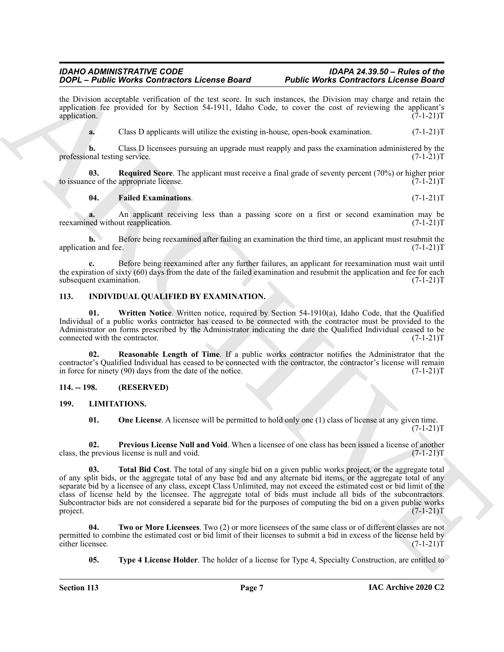the Division acceptable verification of the test score. In such instances, the Division may charge and retain the application fee provided for by Section 54-1911, Idaho Code, to cover the cost of reviewing the applicant's application.  $(7-1-21)T$ application.  $(7-1-21)$ T

**a.** Class D applicants will utilize the existing in-house, open-book examination.  $(7-1-21)$ T

**b.** Class D licensees pursuing an upgrade must reapply and pass the examination administered by the onal testing service.  $(7-1-21)T$ professional testing service.

**03.** Required Score. The applicant must receive a final grade of seventy percent (70%) or higher prior ce of the appropriate license. (7-1-21)<sup>T</sup> to issuance of the appropriate license.

#### <span id="page-6-4"></span><span id="page-6-3"></span>**04. Failed Examinations**. (7-1-21)T

**a.** An applicant receiving less than a passing score on a first or second examination may be ned without reapplication. (7-1-21) reexamined without reapplication.

**b.** Before being reexamined after failing an examination the third time, an applicant must resubmit the application and fee. (7-1-21)T

**c.** Before being reexamined after any further failures, an applicant for reexamination must wait until the expiration of sixty (60) days from the date of the failed examination and resubmit the application and fee for each subsequent examination.  $(7-1-21)$ T subsequent examination.

### <span id="page-6-5"></span><span id="page-6-0"></span>**113. INDIVIDUAL QUALIFIED BY EXAMINATION.**

<span id="page-6-7"></span>**01.** Written Notice. Written notice, required by Section 54-1910(a), Idaho Code, that the Qualified Individual of a public works contractor has ceased to be connected with the contractor must be provided to the Administrator on forms prescribed by the Administrator indicating the date the Qualified Individual ceased to be connected with the contractor. (7-1-21)T connected with the contractor.

<span id="page-6-6"></span>**02. Reasonable Length of Time**. If a public works contractor notifies the Administrator that the contractor's Qualified Individual has ceased to be connected with the contractor, the contractor's license will remain in force for ninety (90) days from the date of the notice. (7-1-21)T

#### <span id="page-6-1"></span>**114. -- 198. (RESERVED)**

#### <span id="page-6-2"></span>**199. LIMITATIONS.**

<span id="page-6-11"></span><span id="page-6-10"></span><span id="page-6-9"></span><span id="page-6-8"></span>**01.** One License. A licensee will be permitted to hold only one (1) class of license at any given time.  $(7-1-21)T$ 

**02. Previous License Null and Void**. When a licensee of one class has been issued a license of another previous license is null and void. (7-1-21) class, the previous license is null and void.

**SOON: EVERY WAYS CONTRACT LICENSE REPORT (PROFESSION CONTRACT) CONTRACT CONTRACT CONTRACT CONTRACT CONTRACT CONTRACT CONTRACT CONTRACT CONTRACT CONTRACT CONTRACT CONTRACT CONTRACT CONTRACT CONTRACT CONTRACT CONTRACT 03. Total Bid Cost**. The total of any single bid on a given public works project, or the aggregate total of any split bids, or the aggregate total of any base bid and any alternate bid items, or the aggregate total of any separate bid by a licensee of any class, except Class Unlimited, may not exceed the estimated cost or bid limit of the class of license held by the licensee. The aggregate total of bids must include all bids of the subcontractors. Subcontractor bids are not considered a separate bid for the purposes of computing the bid on a given public works project. (7-1-21) project. (7-1-21)T

**04. Two or More Licensees**. Two (2) or more licensees of the same class or of different classes are not permitted to combine the estimated cost or bid limit of their licenses to submit a bid in excess of the license held by either licensee. (7-1-21) either licensee.

<span id="page-6-13"></span><span id="page-6-12"></span>**05.** Type 4 License Holder. The holder of a license for Type 4, Specialty Construction, are entitled to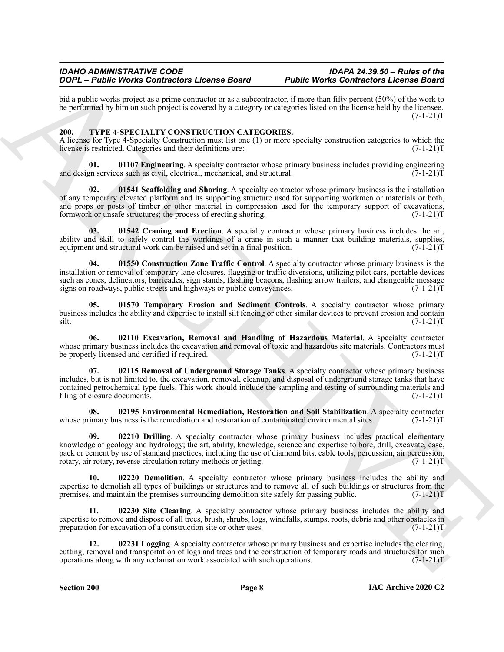bid a public works project as a prime contractor or as a subcontractor, if more than fifty percent (50%) of the work to be performed by him on such project is covered by a category or categories listed on the license held by the licensee.  $(7-1-21)T$ 

### <span id="page-7-1"></span><span id="page-7-0"></span>**200. TYPE 4-SPECIALTY CONSTRUCTION CATEGORIES.**

A license for Type 4-Specialty Construction must list one (1) or more specialty construction categories to which the license is restricted. Categories and their definitions are:  $(7-1-21)$ license is restricted. Categories and their definitions are:

<span id="page-7-6"></span>**01. 01107 Engineering**. A specialty contractor whose primary business includes providing engineering engineering engineering engineering (7-1-21) T and design services such as civil, electrical, mechanical, and structural.

<span id="page-7-11"></span>**02. 01541 Scaffolding and Shoring**. A specialty contractor whose primary business is the installation of any temporary elevated platform and its supporting structure used for supporting workmen or materials or both, and props or posts of timber or other material in compression used for the temporary support of excavations, formwork or unsafe structures; the process of erecting shoring. (7-1-21)T

<span id="page-7-3"></span>**03. 01542 Craning and Erection**. A specialty contractor whose primary business includes the art, ability and skill to safely control the workings of a crane in such a manner that building materials, supplies, equipment and structural work can be raised and set in a final position.  $(7-\overline{1}-21)T$ 

<span id="page-7-2"></span>**04. 01550 Construction Zone Traffic Control**. A specialty contractor whose primary business is the installation or removal of temporary lane closures, flagging or traffic diversions, utilizing pilot cars, portable devices such as cones, delineators, barricades, sign stands, flashing beacons, flashing arrow trailers, and changeable message signs on roadways, public streets and highways or public conveyances. (7-1-21) signs on roadways, public streets and highways or public conveyances.

<span id="page-7-13"></span>**05. 01570 Temporary Erosion and Sediment Controls**. A specialty contractor whose primary business includes the ability and expertise to install silt fencing or other similar devices to prevent erosion and contain silt. (7-1-21) silt. (7-1-21)T

<span id="page-7-10"></span><span id="page-7-8"></span>**06. 02110 Excavation, Removal and Handling of Hazardous Material**. A specialty contractor whose primary business includes the excavation and removal of toxic and hazardous site materials. Contractors must be properly licensed and certified if required. (7-1-21) T

2004. A noise Works Contractor Letons Board of the Media Contractor (Seconds Party) (1973) (1973) (1973) (1973) (1973) (1973) (1973) (1973) (1973) (1973) (1973) (1973) (1973) (1973) (1973) (1973) (1973) (1973) (1973) (197 **07. 02115 Removal of Underground Storage Tanks**. A specialty contractor whose primary business includes, but is not limited to, the excavation, removal, cleanup, and disposal of underground storage tanks that have contained petrochemical type fuels. This work should include the sampling and testing of surrounding materials and<br>(7-1-21)T filing of closure documents.

<span id="page-7-7"></span>**08. 02195 Environmental Remediation, Restoration and Soil Stabilization**. A specialty contractor imary business is the remediation and restoration of contaminated environmental sites. (7-1-21)T whose primary business is the remediation and restoration of contaminated environmental sites.

<span id="page-7-5"></span>**09. 02210 Drilling**. A specialty contractor whose primary business includes practical elementary knowledge of geology and hydrology; the art, ability, knowledge, science and expertise to bore, drill, excavate, case, pack or cement by use of standard practices, including the use of diamond bits, cable tools, percussion, air percussion, rotary, reverse circulation rotary methods or jetting. (7-1-21) rotary, air rotary, reverse circulation rotary methods or jetting.

<span id="page-7-4"></span>**10. 02220 Demolition**. A specialty contractor whose primary business includes the ability and expertise to demolish all types of buildings or structures and to remove all of such buildings or structures from the premises, and maintain the premises surrounding demolition site safely for passing public.  $(7-1-21)T$ premises, and maintain the premises surrounding demolition site safely for passing public.

<span id="page-7-12"></span>**11. 02230 Site Clearing**. A specialty contractor whose primary business includes the ability and expertise to remove and dispose of all trees, brush, shrubs, logs, windfalls, stumps, roots, debris and other obstacles in preparation for excavation of a construction site or other uses. (7-1-21)T

<span id="page-7-9"></span>**12. 02231 Logging**. A specialty contractor whose primary business and expertise includes the clearing, cutting, removal and transportation of logs and trees and the construction of temporary roads and structures for such operations along with any reclamation work associated with such operations. (7-1-21)T operations along with any reclamation work associated with such operations.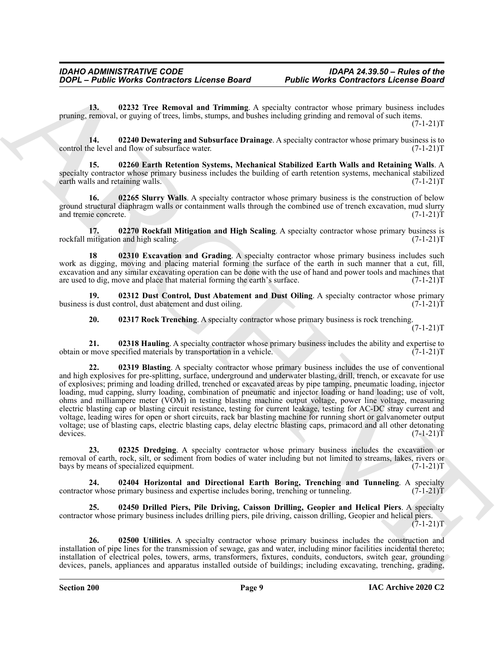<span id="page-8-12"></span>**13. 02232 Tree Removal and Trimming**. A specialty contractor whose primary business includes pruning, removal, or guying of trees, limbs, stumps, and bushes including grinding and removal of such items.  $(7-1-21)T$ 

<span id="page-8-1"></span>**14. 02240 Dewatering and Subsurface Drainage**. A specialty contractor whose primary business is to control the level and flow of subsurface water.

<span id="page-8-5"></span>**15. 02260 Earth Retention Systems, Mechanical Stabilized Earth Walls and Retaining Walls**. A specialty contractor whose primary business includes the building of earth retention systems, mechanical stabilized earth walls and retaining walls. (7-1-21)T

<span id="page-8-11"></span>**16. 02265 Slurry Walls**. A specialty contractor whose primary business is the construction of below ground structural diaphragm walls or containment walls through the combined use of trench excavation, mud slurry and tremie concrete. (7-1-21)T

<span id="page-8-10"></span>**17. 02270 Rockfall Mitigation and High Scaling**. A specialty contractor whose primary business is mitigation and high scaling. (7-1-21)T rockfall mitigation and high scaling.

<span id="page-8-6"></span>**18 02310 Excavation and Grading**. A specialty contractor whose primary business includes such work as digging, moving and placing material forming the surface of the earth in such manner that a cut, fill, excavation and any similar excavating operation can be done with the use of hand and power tools and machines that are used to dig, move and place that material forming the earth's surface. (7-1-21) are used to dig, move and place that material forming the earth's surface.

**19. 02312 Dust Control, Dust Abatement and Dust Oiling**. A specialty contractor whose primary is dust control, dust abatement and dust oiling. (7-1-21) business is dust control, dust abatement and dust oiling.

<span id="page-8-9"></span><span id="page-8-7"></span><span id="page-8-4"></span><span id="page-8-0"></span>**20. 02317 Rock Trenching**. A specialty contractor whose primary business is rock trenching.

 $(7-1-21)T$ 

**21. 02318 Hauling**. A specialty contractor whose primary business includes the ability and expertise to reprinciple to the specified materials by transportation in a vehicle. (7-1-21) obtain or move specified materials by transportation in a vehicle.

**2006** - *Platte Works Contractors Lecons Board Public Works Contractors Lecons Board***<br>
13. (1232) Tree Removal and Triansman, A specially contractors these particular particular particular particular particular particul 22. 02319 Blasting**. A specialty contractor whose primary business includes the use of conventional and high explosives for pre-splitting, surface, underground and underwater blasting, drill, trench, or excavate for use of explosives; priming and loading drilled, trenched or excavated areas by pipe tamping, pneumatic loading, injector loading, mud capping, slurry loading, combination of pneumatic and injector loading or hand loading; use of volt, ohms and milliampere meter (VOM) in testing blasting machine output voltage, power line voltage, measuring electric blasting cap or blasting circuit resistance, testing for current leakage, testing for AC-DC stray current and voltage, leading wires for open or short circuits, rack bar blasting machine for running short or galvanometer output voltage; use of blasting caps, electric blasting caps, delay electric blasting caps, primacord and all other detonating devices.  $(7-1-21)T$ 

<span id="page-8-2"></span>**23. 02325 Dredging**. A specialty contractor whose primary business includes the excavation or removal of earth, rock, silt, or sediment from bodies of water including but not limited to streams, lakes, rivers or bays by means of specialized equipment. (7-1-21)T

<span id="page-8-8"></span>**24. 02404 Horizontal and Directional Earth Boring, Trenching and Tunneling**. A specialty contractor whose primary business and expertise includes boring, trenching or tunneling.

<span id="page-8-3"></span>**25. 02450 Drilled Piers, Pile Driving, Caisson Drilling, Geopier and Helical Piers**. A specialty contractor whose primary business includes drilling piers, pile driving, caisson drilling, Geopier and helical piers.  $(7-1-21)T$ 

<span id="page-8-13"></span>**26. 02500 Utilities**. A specialty contractor whose primary business includes the construction and installation of pipe lines for the transmission of sewage, gas and water, including minor facilities incidental thereto; installation of electrical poles, towers, arms, transformers, fixtures, conduits, conductors, switch gear, grounding devices, panels, appliances and apparatus installed outside of buildings; including excavating, trenching, grading,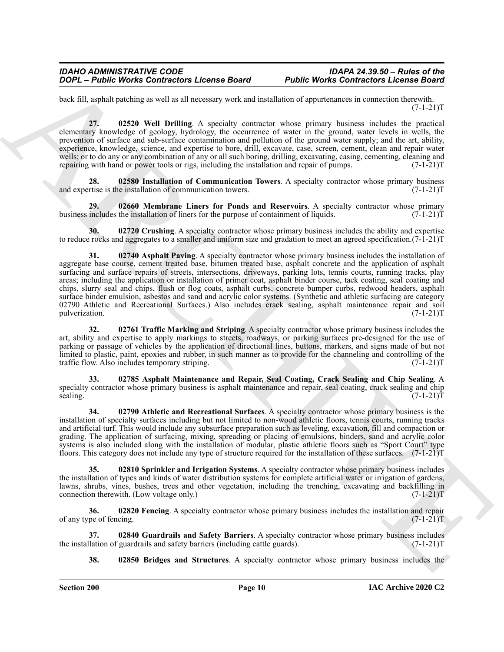back fill, asphalt patching as well as all necessary work and installation of appurtenances in connection therewith.  $(7-1-21)T$ 

<span id="page-9-11"></span>**27. 02520 Well Drilling**. A specialty contractor whose primary business includes the practical elementary knowledge of geology, hydrology, the occurrence of water in the ground, water levels in wells, the prevention of surface and sub-surface contamination and pollution of the ground water supply; and the art, ability, experience, knowledge, science, and expertise to bore, drill, excavate, case, screen, cement, clean and repair water wells; or to do any or any combination of any or all such boring, drilling, excavating, casing, cementing, cleaning and repairing with hand or power tools or rigs, including the installation and repair of pumps. (7-1-21)T

<span id="page-9-7"></span>**28. 02580 Installation of Communication Towers**. A specialty contractor whose primary business retise is the installation of communication towers. (7-1-21)T and expertise is the installation of communication towers.

<span id="page-9-8"></span>**29. 02660 Membrane Liners for Ponds and Reservoirs**. A specialty contractor whose primary business includes the installation of liners for the purpose of containment of liquids.  $(7-1-21)$ T

<span id="page-9-4"></span><span id="page-9-1"></span>**30. 02720 Crushing**. A specialty contractor whose primary business includes the ability and expertise to reduce rocks and aggregates to a smaller and uniform size and gradation to meet an agreed specification.(7-1-21)T

**2006** - **Plughe Works Contractors Lecense Board Public Works Contractors Lecense and**<br>the state work of the state of the state of the state of the state of the state of the state of the state of the state of the state of **31. 02740 Asphalt Paving**. A specialty contractor whose primary business includes the installation of aggregate base course, cement treated base, bitumen treated base, asphalt concrete and the application of asphalt surfacing and surface repairs of streets, intersections, driveways, parking lots, tennis courts, running tracks, play areas; including the application or installation of primer coat, asphalt binder course, tack coating, seal coating and chips, slurry seal and chips, flush or flog coats, asphalt curbs, concrete bumper curbs, redwood headers, asphalt surface binder emulsion, asbestos and sand and acrylic color systems. (Synthetic and athletic surfacing are category 02790 Athletic and Recreational Surfaces.) Also includes crack sealing, asphalt maintenance repair and soil pulverization. (7-1-21) pulverization. (7-1-21)T

<span id="page-9-10"></span>**32. 02761 Traffic Marking and Striping**. A specialty contractor whose primary business includes the art, ability and expertise to apply markings to streets, roadways, or parking surfaces pre-designed for the use of parking or passage of vehicles by the application of directional lines, buttons, markers, and signs made of but not limited to plastic, paint, epoxies and rubber, in such manner as to provide for the channeling and controlling of the traffic flow. Also includes temporary striping. (7-1-21)T

<span id="page-9-0"></span>**33. 02785 Asphalt Maintenance and Repair, Seal Coating, Crack Sealing and Chip Sealing**. A specialty contractor whose primary business is asphalt maintenance and repair, seal coating, crack sealing and chip sealing. (7-1-21)T

<span id="page-9-2"></span>**34. 02790 Athletic and Recreational Surfaces**. A specialty contractor whose primary business is the installation of specialty surfaces including but not limited to non-wood athletic floors, tennis courts, running tracks and artificial turf. This would include any subsurface preparation such as leveling, excavation, fill and compaction or grading. The application of surfacing, mixing, spreading or placing of emulsions, binders, sand and acrylic color systems is also included along with the installation of modular, plastic athletic floors such as "Sport Court" type floors. This category does not include any type of structure required for the installation of these surfaces. (7-1-21)T

<span id="page-9-9"></span>**35. 02810 Sprinkler and Irrigation Systems**. A specialty contractor whose primary business includes the installation of types and kinds of water distribution systems for complete artificial water or irrigation of gardens, lawns, shrubs, vines, bushes, trees and other vegetation, including the trenching, excavating and backfilling in connection therewith. (Low voltage only.) (7-1-21)T

**36. 02820 Fencing**. A specialty contractor whose primary business includes the installation and repair of any type of fencing. (7-1-21)T

**37. 02840 Guardrails and Safety Barriers**. A specialty contractor whose primary business includes the installation of guardrails and safety barriers (including cattle guards).

<span id="page-9-6"></span><span id="page-9-5"></span><span id="page-9-3"></span>**38. 02850 Bridges and Structures**. A specialty contractor whose primary business includes the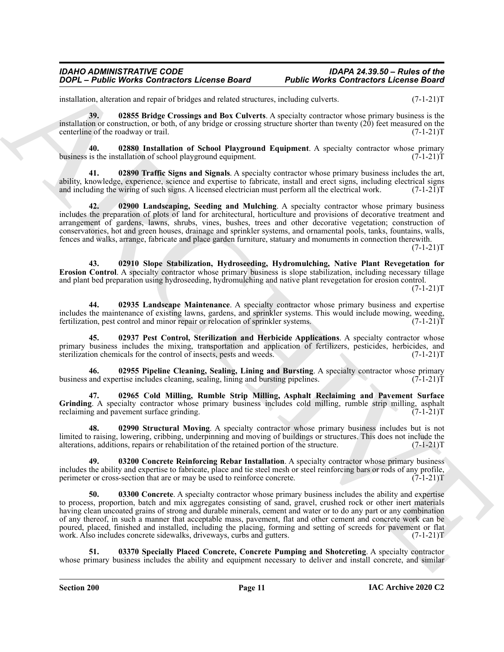<span id="page-10-0"></span>installation, alteration and repair of bridges and related structures, including culverts. (7-1-21)T

**39. 02855 Bridge Crossings and Box Culverts**. A specialty contractor whose primary business is the installation or construction, or both, of any bridge or crossing structure shorter than twenty (20) feet measured on the centerline of the roadway or trail. (7-1-21)T

<span id="page-10-4"></span>**40. 02880 Installation of School Playground Equipment**. A specialty contractor whose primary business is the installation of school playground equipment.

<span id="page-10-12"></span>**41. 02890 Traffic Signs and Signals**. A specialty contractor whose primary business includes the art, ability, knowledge, experience, science and expertise to fabricate, install and erect signs, including electrical signs and including the wiring of such signs. A licensed electrician must perform all the electrical work. ( and including the wiring of such signs. A licensed electrician must perform all the electrical work.

<span id="page-10-6"></span>**42. 02900 Landscaping, Seeding and Mulching**. A specialty contractor whose primary business includes the preparation of plots of land for architectural, horticulture and provisions of decorative treatment and arrangement of gardens, lawns, shrubs, vines, bushes, trees and other decorative vegetation; construction of conservatories, hot and green houses, drainage and sprinkler systems, and ornamental pools, tanks, fountains, walls, fences and walks, arrange, fabricate and place garden furniture, statuary and monuments in connection therewith.

 $(7-1-21)T$ 

<span id="page-10-9"></span>**43. 02910 Slope Stabilization, Hydroseeding, Hydromulching, Native Plant Revegetation for Erosion Control**. A specialty contractor whose primary business is slope stabilization, including necessary tillage and plant bed preparation using hydroseeding, hydromulching and native plant revegetation for erosion control.

 $(7-1-21)T$ 

<span id="page-10-5"></span>**44. 02935 Landscape Maintenance**. A specialty contractor whose primary business and expertise includes the maintenance of existing lawns, gardens, and sprinkler systems. This would include mowing, weeding, fertilization, pest control and minor repair or relocation of sprinkler systems. (7-1-21)T

<span id="page-10-7"></span>**45. 02937 Pest Control, Sterilization and Herbicide Applications**. A specialty contractor whose primary business includes the mixing, transportation and application of fertilizers, pesticides, herbicides, and sterilization chemicals for the control of insects, pests and weeds. (7-1-21) sterilization chemicals for the control of insects, pests and weeds.

<span id="page-10-8"></span>**46. 02955 Pipeline Cleaning, Sealing, Lining and Bursting**. A specialty contractor whose primary business and expertise includes cleaning, sealing, lining and bursting pipelines.

<span id="page-10-1"></span>**47. 02965 Cold Milling, Rumble Strip Milling, Asphalt Reclaiming and Pavement Surface Grinding**. A specialty contractor whose primary business includes cold milling, rumble strip milling, asphalt reclaiming and pavement surface grinding. (7-1-21)T

<span id="page-10-11"></span>**48. 02990 Structural Moving**. A specialty contractor whose primary business includes but is not limited to raising, lowering, cribbing, underpinning and moving of buildings or structures. This does not include the alterations, additions, repairs or rehabilitation of the retained portion of the structure. (7-1-21)T

<span id="page-10-3"></span><span id="page-10-2"></span>**49. 03200 Concrete Reinforcing Rebar Installation**. A specialty contractor whose primary business includes the ability and expertise to fabricate, place and tie steel mesh or steel reinforcing bars or rods of any profile, perimeter or cross-section that are or may be used to reinforce concrete. (7-1-21)T

**2006** - **Plutte Works Contractors Learnes Board Public Works Contractors Learnes Board 10.000 the contractors and the contractors and the contractors and the contractors and the contractors are equilible to the contract 50. 03300 Concrete**. A specialty contractor whose primary business includes the ability and expertise to process, proportion, batch and mix aggregates consisting of sand, gravel, crushed rock or other inert materials having clean uncoated grains of strong and durable minerals, cement and water or to do any part or any combination of any thereof, in such a manner that acceptable mass, pavement, flat and other cement and concrete work can be poured, placed, finished and installed, including the placing, forming and setting of screeds for pavement or flat work. Also includes concrete sidewalks, driveways, curbs and gutters. (7-1-21) T

<span id="page-10-10"></span>**51. 03370 Specially Placed Concrete, Concrete Pumping and Shotcreting**. A specialty contractor whose primary business includes the ability and equipment necessary to deliver and install concrete, and similar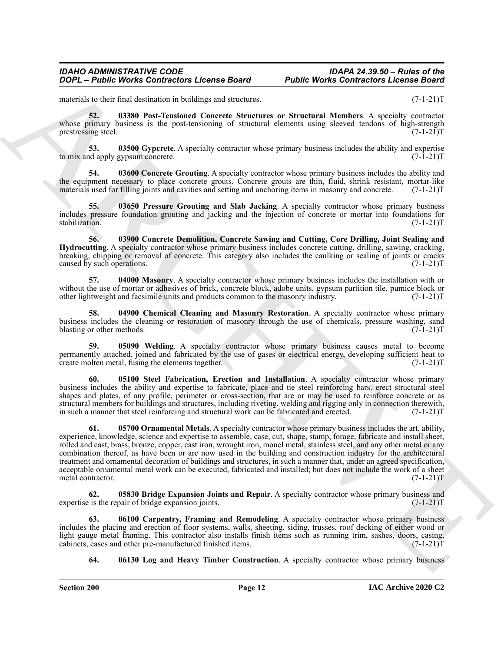<span id="page-11-9"></span>materials to their final destination in buildings and structures. (7-1-21)T

**52. 03380 Post-Tensioned Concrete Structures or Structural Members**. A specialty contractor whose primary business is the post-tensioning of structural elements using sleeved tendons of high-strength prestressing steel.  $(7-1-21)$ T

<span id="page-11-5"></span>**53. 03500 Gypcrete**. A specialty contractor whose primary business includes the ability and expertise of apply gypsum concrete.  $(7-1-21)T$ to mix and apply gypsum concrete.

<span id="page-11-4"></span>**54. 03600 Concrete Grouting**. A specialty contractor whose primary business includes the ability and the equipment necessary to place concrete grouts. Concrete grouts are thin, fluid, shrink resistant, mortar-like materials used for filling joints and cavities and setting and anchoring items in masonry and concrete. (7-1-21)T

<span id="page-11-10"></span>**55. 03650 Pressure Grouting and Slab Jacking**. A specialty contractor whose primary business includes pressure foundation grouting and jacking and the injection of concrete or mortar into foundations for stabilization. (7-1-21)T

<span id="page-11-3"></span>**56. 03900 Concrete Demolition, Concrete Sawing and Cutting, Core Drilling, Joint Sealing and Hydrocutting**. A specialty contractor whose primary business includes concrete cutting, drilling, sawing, cracking, breaking, chipping or removal of concrete. This category also includes the caulking or sealing of joints or cracks caused by such operations. (7-1-21)T

<span id="page-11-7"></span>**57. 04000 Masonry**. A specialty contractor whose primary business includes the installation with or without the use of mortar or adhesives of brick, concrete block, adobe units, gypsum partition tile, pumice block or other lightweight and facsimile units and products common to the masonry industry. (7-1-21)T

<span id="page-11-2"></span>**58. 04900 Chemical Cleaning and Masonry Restoration**. A specialty contractor whose primary business includes the cleaning or restoration of masonry through the use of chemicals, pressure washing, sand<br>(7-1-21)T blasting or other methods.

<span id="page-11-12"></span>**59. 05090 Welding**. A specialty contractor whose primary business causes metal to become permanently attached, joined and fabricated by the use of gases or electrical energy, developing sufficient heat to create molten metal, fusing the elements together. (7-1-21) create molten metal, fusing the elements together.

<span id="page-11-11"></span><span id="page-11-8"></span>**60. 05100 Steel Fabrication, Erection and Installation**. A specialty contractor whose primary business includes the ability and expertise to fabricate, place and tie steel reinforcing bars, erect structural steel shapes and plates, of any profile, perimeter or cross-section, that are or may be used to reinforce concrete or as structural members for buildings and structures, including riveting, welding and rigging only in connection therewith, in such a manner that steel reinforcing and structural work can be fabricated and erected. (7-1-21)T

**2004** - *Platte Works Contractors Leonne Board Public Works Contractors Leonne Board 2004***<br>
<b>ARCHIVE USE USE A record of the state of the state of the state of the state of the state of the state of the state of the sta 61. 05700 Ornamental Metals**. A specialty contractor whose primary business includes the art, ability, experience, knowledge, science and expertise to assemble, case, cut, shape, stamp, forage, fabricate and install sheet, rolled and cast, brass, bronze, copper, cast iron, wrought iron, monel metal, stainless steel, and any other metal or any combination thereof, as have been or are now used in the building and construction industry for the architectural treatment and ornamental decoration of buildings and structures, in such a manner that, under an agreed specification, acceptable ornamental metal work can be executed, fabricated and installed; but does not include the work of a sheet metal contractor. (7-1-21)T

<span id="page-11-0"></span>**62. 05830 Bridge Expansion Joints and Repair**. A specialty contractor whose primary business and is the repair of bridge expansion joints. (7-1-21) expertise is the repair of bridge expansion joints.

**63. 06100 Carpentry, Framing and Remodeling**. A specialty contractor whose primary business includes the placing and erection of floor systems, walls, sheeting, siding, trusses, roof decking of either wood or light gauge metal framing. This contractor also installs finish items such as running trim, sashes, doors, casing, cabinets, cases and other pre-manufactured finished items. (7-1-21) cabinets, cases and other pre-manufactured finished items.

<span id="page-11-6"></span><span id="page-11-1"></span>**64. 06130 Log and Heavy Timber Construction**. A specialty contractor whose primary business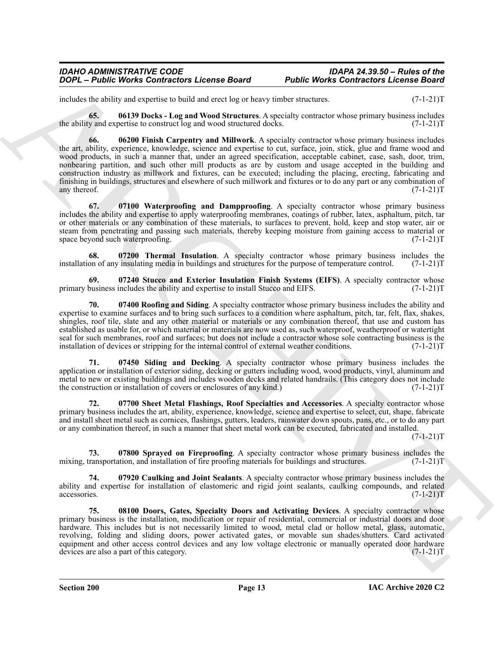includes the ability and expertise to build and erect log or heavy timber structures. (7-1-21)T

<span id="page-12-4"></span><span id="page-12-2"></span>**65. 06139 Docks - Log and Wood Structures**. A specialty contractor whose primary business includes the ability and expertise to construct log and wood structured docks.

**2006** - *Photo Works Contractors Leonne Board Photo-Works Contractors Leonne Board 1997***<br>
Interview of the state of the state of the state of the state state state and the state state of the state state of the state sta 66. 06200 Finish Carpentry and Millwork**. A specialty contractor whose primary business includes the art, ability, experience, knowledge, science and expertise to cut, surface, join, stick, glue and frame wood and wood products, in such a manner that, under an agreed specification, acceptable cabinet, case, sash, door, trim, nonbearing partition, and such other mill products as are by custom and usage accepted in the building and construction industry as millwork and fixtures, can be executed; including the placing, erecting, fabricating and finishing in buildings, structures and elsewhere of such millwork and fixtures or to do any part or any combination of any thereof. (7-1-21) T

<span id="page-12-10"></span>**67. 07100 Waterproofing and Dampproofing**. A specialty contractor whose primary business includes the ability and expertise to apply waterproofing membranes, coatings of rubber, latex, asphaltum, pitch, tar or other materials or any combination of these materials, to surfaces to prevent, hold, keep and stop water, air or steam from penetrating and passing such materials, thereby keeping moisture from gaining access to material or<br>(7-1-21)T space beyond such waterproofing.

<span id="page-12-9"></span>**68. 07200 Thermal Insulation**. A specialty contractor whose primary business includes the on of any insulating media in buildings and structures for the purpose of temperature control. (7-1-21)T installation of any insulating media in buildings and structures for the purpose of temperature control.

<span id="page-12-8"></span>**69. 67240 Stucco and Exterior Insulation Finish Systems (EIFS)**. A specialty contractor whose business includes the ability and expertise to install Stucco and EIFS. (7-1-21) primary business includes the ability and expertise to install Stucco and EIFS.

<span id="page-12-5"></span>**70. 07400 Roofing and Siding**. A specialty contractor whose primary business includes the ability and expertise to examine surfaces and to bring such surfaces to a condition where asphaltum, pitch, tar, felt, flax, shakes, shingles, roof tile, slate and any other material or materials or any combination thereof, that use and custom has established as usable for, or which material or materials are now used as, such waterproof, weatherproof or watertight seal for such membranes, roof and surfaces; but does not include a contractor whose sole contracting business is the installation of devices or stripping for the internal control of external weather conditions. (7-1-21)T installation of devices or stripping for the internal control of external weather conditions.

<span id="page-12-7"></span>**71. 07450 Siding and Decking**. A specialty contractor whose primary business includes the application or installation of exterior siding, decking or gutters including wood, wood products, vinyl, aluminum and metal to new or existing buildings and includes wooden decks and related handrails. (This category does not include the construction or installation of covers or enclosures of any kind.) (7-1-21)T

<span id="page-12-6"></span>**72. 07700 Sheet Metal Flashings, Roof Specialties and Accessories**. A specialty contractor whose primary business includes the art, ability, experience, knowledge, science and expertise to select, cut, shape, fabricate and install sheet metal such as cornices, flashings, gutters, leaders, rainwater down spouts, pans, etc., or to do any part or any combination thereof, in such a manner that sheet metal work can be executed, fabricated and installed.

 $(7-1-21)T$ 

<span id="page-12-0"></span>**73. 07800 Sprayed on Fireproofing**. A specialty contractor whose primary business includes the transportation, and installation of fire proofing materials for buildings and structures. (7-1-21)T mixing, transportation, and installation of fire proofing materials for buildings and structures.

<span id="page-12-1"></span>**74. 07920 Caulking and Joint Sealants**. A specialty contractor whose primary business includes the ability and expertise for installation of elastomeric and rigid joint sealants, caulking compounds, and related accessories. (7-1-21)T accessories. (7-1-21)T

<span id="page-12-3"></span>**75. 08100 Doors, Gates, Specialty Doors and Activating Devices**. A specialty contractor whose primary business is the installation, modification or repair of residential, commercial or industrial doors and door hardware. This includes but is not necessarily limited to wood, metal clad or hollow metal, glass, automatic, revolving, folding and sliding doors, power activated gates, or movable sun shades/shutters. Card activated equipment and other access control devices and any low voltage electronic or manually operated door hardware devices are also a part of this category. (7-1-21) devices are also a part of this category.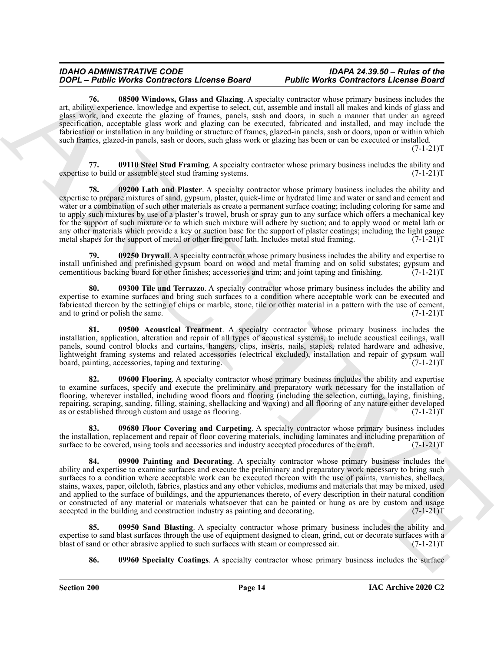<span id="page-13-10"></span>**76. 08500 Windows, Glass and Glazing**. A specialty contractor whose primary business includes the art, ability, experience, knowledge and expertise to select, cut, assemble and install all makes and kinds of glass and glass work, and execute the glazing of frames, panels, sash and doors, in such a manner that under an agreed specification, acceptable glass work and glazing can be executed, fabricated and installed, and may include the fabrication or installation in any building or structure of frames, glazed-in panels, sash or doors, upon or within which such frames, glazed-in panels, sash or doors, such glass work or glazing has been or can be executed or installed.  $(7-1-21)T$ 

<span id="page-13-8"></span><span id="page-13-4"></span>**77. 09110 Steel Stud Framing**. A specialty contractor whose primary business includes the ability and expertise to build or assemble steel stud framing systems. (7-1-21)T

**2004 C-Bude Works Contract License Board P-Bude Works Contract P-Bude Works Contract License Real P-Bude Works Contract License Real P-Bude Works Contract License Real P-Bude Works Contract License Real P-Bude Works Co 78. 09200 Lath and Plaster**. A specialty contractor whose primary business includes the ability and expertise to prepare mixtures of sand, gypsum, plaster, quick-lime or hydrated lime and water or sand and cement and water or a combination of such other materials as create a permanent surface coating; including coloring for same and to apply such mixtures by use of a plaster's trowel, brush or spray gun to any surface which offers a mechanical key for the support of such mixture or to which such mixture will adhere by suction; and to apply wood or metal lath or any other materials which provide a key or suction base for the support of plaster coatings; including the light gauge metal shapes for the support of metal or other fire proof lath. Includes metal stud framing. (7-1-21)T metal shapes for the support of metal or other fire proof lath. Includes metal stud framing.

<span id="page-13-1"></span>**99250 Drywall.** A specialty contractor whose primary business includes the ability and expertise to install unfinished and prefinished gypsum board on wood and metal framing and on solid substates; gypsum and cementitious backing board for other finishes; accessories and trim; and joint taping and finishing. (7-1-21)T cementitious backing board for other finishes; accessories and trim; and joint taping and finishing.

<span id="page-13-9"></span>**80. 09300 Tile and Terrazzo**. A specialty contractor whose primary business includes the ability and expertise to examine surfaces and bring such surfaces to a condition where acceptable work can be executed and fabricated thereon by the setting of chips or marble, stone, tile or other material in a pattern with the use of cement, and to grind or polish the same.  $(7-1-21)T$ and to grind or polish the same.

<span id="page-13-0"></span>**81. 09500 Acoustical Treatment**. A specialty contractor whose primary business includes the installation, application, alteration and repair of all types of acoustical systems, to include acoustical ceilings, wall panels, sound control blocks and curtains, hangers, clips, inserts, nails, staples, related hardware and adhesive, lightweight framing systems and related accessories (electrical excluded), installation and repair of gypsum wall board, painting, accessories, taping and texturing. (7-1-21) board, painting, accessories, taping and texturing.

<span id="page-13-3"></span>**82. 09600 Flooring**. A specialty contractor whose primary business includes the ability and expertise to examine surfaces, specify and execute the preliminary and preparatory work necessary for the installation of flooring, wherever installed, including wood floors and flooring (including the selection, cutting, laying, finishing, repairing, scraping, sanding, filling, staining, shellacking and waxing) and all flooring of any nature either developed as or established through custom and usage as flooring. (7-1-21)T

<span id="page-13-2"></span>**83. 09680 Floor Covering and Carpeting**. A specialty contractor whose primary business includes the installation, replacement and repair of floor covering materials, including laminates and including preparation of surface to be covered, using tools and accessories and industry accepted procedures of the craft. (7-1-21)T

<span id="page-13-5"></span>**84. 09900 Painting and Decorating**. A specialty contractor whose primary business includes the ability and expertise to examine surfaces and execute the preliminary and preparatory work necessary to bring such surfaces to a condition where acceptable work can be executed thereon with the use of paints, varnishes, shellacs, stains, waxes, paper, oilcloth, fabrics, plastics and any other vehicles, mediums and materials that may be mixed, used and applied to the surface of buildings, and the appurtenances thereto, of every description in their natural condition or constructed of any material or materials whatsoever that can be painted or hung as are by custom and usage accepted in the building and construction industry as painting and decorating. (7-1-21) accepted in the building and construction industry as painting and decorating.

**85. 09950 Sand Blasting**. A specialty contractor whose primary business includes the ability and expertise to sand blast surfaces through the use of equipment designed to clean, grind, cut or decorate surfaces with a blast of sand or other abrasive applied to such surfaces with steam or compressed air. (7-1-21) blast of sand or other abrasive applied to such surfaces with steam or compressed air.

<span id="page-13-7"></span><span id="page-13-6"></span>**86. 09960 Specialty Coatings**. A specialty contractor whose primary business includes the surface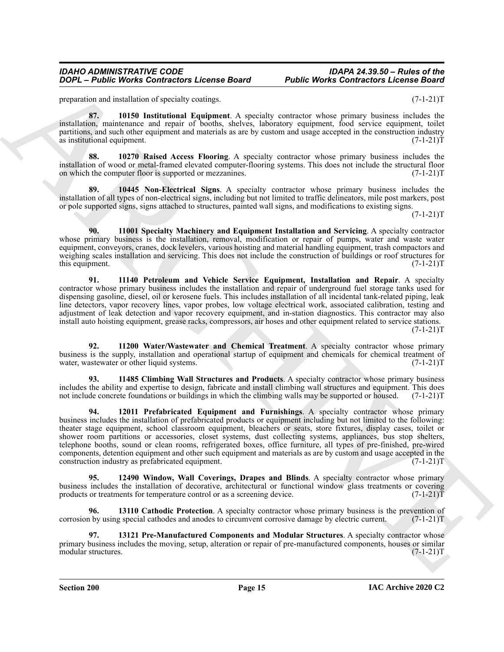<span id="page-14-2"></span>preparation and installation of specialty coatings. (7-1-21)T

**87. 10150 Institutional Equipment**. A specialty contractor whose primary business includes the installation, maintenance and repair of booths, shelves, laboratory equipment, food service equipment, toilet partitions, and such other equipment and materials as are by custom and usage accepted in the construction industry as institutional equipment. (7-1-21)T

<span id="page-14-7"></span>**88. 10270 Raised Access Flooring**. A specialty contractor whose primary business includes the installation of wood or metal-framed elevated computer-flooring systems. This does not include the structural floor on which the computer floor is supported or mezzanines. (7-1-21)T

<span id="page-14-3"></span>**89. 10445 Non-Electrical Signs**. A specialty contractor whose primary business includes the installation of all types of non-electrical signs, including but not limited to traffic delineators, mile post markers, post or pole supported signs, signs attached to structures, painted wall signs, and modifications to existing signs.

 $(7-1-21)T$ 

<span id="page-14-8"></span>**90. 11001 Specialty Machinery and Equipment Installation and Servicing**. A specialty contractor whose primary business is the installation, removal, modification or repair of pumps, water and waste water equipment, conveyors, cranes, dock levelers, various hoisting and material handling equipment, trash compactors and weighing scales installation and servicing. This does not include the construction of buildings or roof structures for this equipment. (7-1-21)T

<span id="page-14-4"></span>**91. 11140 Petroleum and Vehicle Service Equipment, Installation and Repair**. A specialty contractor whose primary business includes the installation and repair of underground fuel storage tanks used for dispensing gasoline, diesel, oil or kerosene fuels. This includes installation of all incidental tank-related piping, leak line detectors, vapor recovery lines, vapor probes, low voltage electrical work, associated calibration, testing and adjustment of leak detection and vapor recovery equipment, and in-station diagnostics. This contractor may also install auto hoisting equipment, grease racks, compressors, air hoses and other equipment related to service stations.  $(7-1-21)T$ 

<span id="page-14-9"></span>**92. 11200 Water/Wastewater and Chemical Treatment**. A specialty contractor whose primary business is the supply, installation and operational startup of equipment and chemicals for chemical treatment of water, wastewater or other liquid systems. (7-1-21) water, wastewater or other liquid systems.

<span id="page-14-5"></span><span id="page-14-1"></span>**93. 11485 Climbing Wall Structures and Products**. A specialty contractor whose primary business includes the ability and expertise to design, fabricate and install climbing wall structures and equipment. This does not include concrete foundations or buildings in which the climbing walls may be supported or housed. (7-1-21)T

**2004** – **Plutte Works Contractors Lecons Board – Public Works Contractors Lecons Board – proposed or any experiment and except proposed in the specific state in the specific state of the specific state in the specific st 94. 12011 Prefabricated Equipment and Furnishings**. A specialty contractor whose primary business includes the installation of prefabricated products or equipment including but not limited to the following: theater stage equipment, school classroom equipment, bleachers or seats, store fixtures, display cases, toilet or shower room partitions or accessories, closet systems, dust collecting systems, appliances, bus stop shelters, telephone booths, sound or clean rooms, refrigerated boxes, office furniture, all types of pre-finished, pre-wired components, detention equipment and other such equipment and materials as are by custom and usage accepted in the construction industry as prefabricated equipment. (7-1-21)T

<span id="page-14-10"></span>**95. 12490 Window, Wall Coverings, Drapes and Blinds**. A specialty contractor whose primary business includes the installation of decorative, architectural or functional window glass treatments or covering products or treatments for temperature control or as a screening device. (7-1-21) products or treatments for temperature control or as a screening device.

<span id="page-14-0"></span>**96. 13110 Cathodic Protection**. A specialty contractor whose primary business is the prevention of corrosion by using special cathodes and anodes to circumvent corrosive damage by electric current. (7-1-21)T

<span id="page-14-6"></span>**97. 13121 Pre-Manufactured Components and Modular Structures**. A specialty contractor whose primary business includes the moving, setup, alteration or repair of pre-manufactured components, houses or similar modular structures. (7-1-21)T modular structures.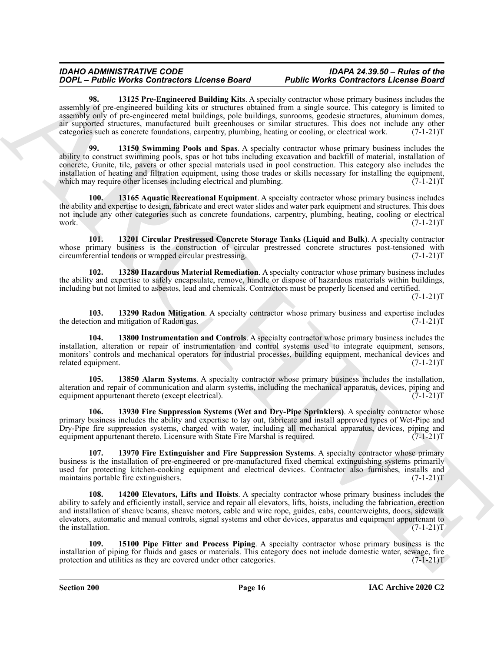<span id="page-15-11"></span><span id="page-15-9"></span>13125 Pre-Engineered Building Kits. A specialty contractor whose primary business includes the assembly of pre-engineered building kits or structures obtained from a single source. This category is limited to assembly only of pre-engineered metal buildings, pole buildings, sunrooms, geodesic structures, aluminum domes, air supported structures, manufactured built greenhouses or similar structures. This does not include any other categories such as concrete foundations, carpentry, plumbing, heating or cooling, or electrical work. (7-1-21)T

**2004 Control to the control to the method Property Control to the state of the state of the state of the state of the state of the state of the state of the state of the state of the state of the state of the state of 99. 13150 Swimming Pools and Spas**. A specialty contractor whose primary business includes the ability to construct swimming pools, spas or hot tubs including excavation and backfill of material, installation of concrete, Gunite, tile, pavers or other special materials used in pool construction. This category also includes the installation of heating and filtration equipment, using those trades or skills necessary for installing the equipment, which may require other licenses including electrical and plumbing.  $(7-1-21)$ which may require other licenses including electrical and plumbing.

<span id="page-15-1"></span>**100. 13165 Aquatic Recreational Equipment**. A specialty contractor whose primary business includes the ability and expertise to design, fabricate and erect water slides and water park equipment and structures. This does not include any other categories such as concrete foundations, carpentry, plumbing, heating, cooling or electrical work.  $(7-1-21)T$ work. (7-1-21)T

<span id="page-15-2"></span>**101. 13201 Circular Prestressed Concrete Storage Tanks (Liquid and Bulk)**. A specialty contractor whose primary business is the construction of circular prestressed concrete structures post-tensioned with circumferential tendons or wrapped circular prestressing. (7-1-21) circumferential tendons or wrapped circular prestressing.

<span id="page-15-6"></span>**102. 13280 Hazardous Material Remediation**. A specialty contractor whose primary business includes the ability and expertise to safely encapsulate, remove, handle or dispose of hazardous materials within buildings, including but not limited to asbestos, lead and chemicals. Contractors must be properly licensed and certified.

 $(7-1-21)T$ 

<span id="page-15-10"></span>**103. 13290 Radon Mitigation**. A specialty contractor whose primary business and expertise includes the detection and mitigation of Radon gas.

<span id="page-15-7"></span>**104. 13800 Instrumentation and Controls**. A specialty contractor whose primary business includes the installation, alteration or repair of instrumentation and control systems used to integrate equipment, sensors, monitors' controls and mechanical operators for industrial processes, building equipment, mechanical devices and related equipment. (7-1-21)T

<span id="page-15-0"></span>**105. 13850 Alarm Systems**. A specialty contractor whose primary business includes the installation, alteration and repair of communication and alarm systems, including the mechanical apparatus, devices, piping and equipment appurtenant thereto (except electrical). equipment appurtenant thereto (except electrical).

<span id="page-15-5"></span>**106. 13930 Fire Suppression Systems (Wet and Dry-Pipe Sprinklers)**. A specialty contractor whose primary business includes the ability and expertise to lay out, fabricate and install approved types of Wet-Pipe and Dry-Pipe fire suppression systems, charged with water, including all mechanical apparatus, devices, piping and equipment appurtenant thereto. Licensure with State Fire Marshal is required. (7-1-21) (7)

<span id="page-15-4"></span>**107. 13970 Fire Extinguisher and Fire Suppression Systems**. A specialty contractor whose primary business is the installation of pre-engineered or pre-manufactured fixed chemical extinguishing systems primarily used for protecting kitchen-cooking equipment and electrical devices. Contractor also furnishes, installs and maintains portable fire extinguishers. (7-1-21) T

<span id="page-15-3"></span>**108. 14200 Elevators, Lifts and Hoists**. A specialty contractor whose primary business includes the ability to safely and efficiently install, service and repair all elevators, lifts, hoists, including the fabrication, erection and installation of sheave beams, sheave motors, cable and wire rope, guides, cabs, counterweights, doors, sidewalk elevators, automatic and manual controls, signal systems and other devices, apparatus and equipment appurtenant to the installation.

<span id="page-15-8"></span>**109. 15100 Pipe Fitter and Process Piping**. A specialty contractor whose primary business is the installation of piping for fluids and gases or materials. This category does not include domestic water, sewage, fire protection and utilities as they are covered under other categories. (7-1-21) protection and utilities as they are covered under other categories.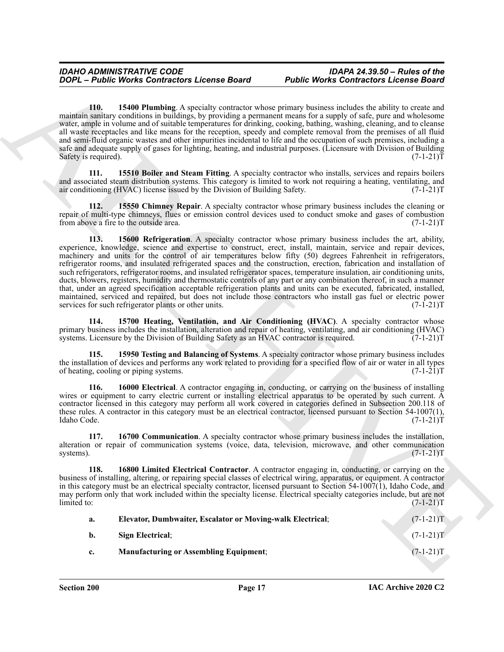<span id="page-16-9"></span>**110. 15400 Plumbing**. A specialty contractor whose primary business includes the ability to create and maintain sanitary conditions in buildings, by providing a permanent means for a supply of safe, pure and wholesome water, ample in volume and of suitable temperatures for drinking, cooking, bathing, washing, cleaning, and to cleanse all waste receptacles and like means for the reception, speedy and complete removal from the premises of all fluid and semi-fluid organic wastes and other impurities incidental to life and the occupation of such premises, including a safe and adequate supply of gases for lighting, heating, and industrial purposes. (Licensure with Division of Building Safety is required).  $(7-1-21)T$ 

<span id="page-16-0"></span>**15510 Boiler and Steam Fitting**. A specialty contractor who installs, services and repairs boilers and associated steam distribution systems. This category is limited to work not requiring a heating, ventilating, and air conditioning (HVAC) license issued by the Division of Building Safety. (7-1-21)T air conditioning (HVAC) license issued by the Division of Building Safety.

<span id="page-16-10"></span><span id="page-16-1"></span>**15550 Chimney Repair.** A specialty contractor whose primary business includes the cleaning or repair of multi-type chimneys, flues or emission control devices used to conduct smoke and gases of combustion from above a fire to the outside area. (7-1-21) from above a fire to the outside area.

**2006** - **PRobe Works Contractors Lecense Board** Public Works Contractors Lecense about 2008 - 158 Million to the state of the state of the state of the state of the state of the state of the state of the state of the sta **113. 15600 Refrigeration**. A specialty contractor whose primary business includes the art, ability, experience, knowledge, science and expertise to construct, erect, install, maintain, service and repair devices, machinery and units for the control of air temperatures below fifty (50) degrees Fahrenheit in refrigerators, refrigerator rooms, and insulated refrigerated spaces and the construction, erection, fabrication and installation of such refrigerators, refrigerator rooms, and insulated refrigerator spaces, temperature insulation, air conditioning units, ducts, blowers, registers, humidity and thermostatic controls of any part or any combination thereof, in such a manner that, under an agreed specification acceptable refrigeration plants and units can be executed, fabricated, installed, maintained, serviced and repaired, but does not include those contractors who install gas fuel or electric power<br>services for such refrigerator plants or other units. (7-1-21) services for such refrigerator plants or other units.

<span id="page-16-7"></span>**114. 15700 Heating, Ventilation, and Air Conditioning (HVAC)**. A specialty contractor whose primary business includes the installation, alteration and repair of heating, ventilating, and air conditioning (HVAC) systems. Licensure by the Division of Building Safety as an HVAC contractor is required. (7-1-21)T systems. Licensure by the Division of Building Safety as an HVAC contractor is required.

<span id="page-16-11"></span>**115. 15950 Testing and Balancing of Systems**. A specialty contractor whose primary business includes the installation of devices and performs any work related to providing for a specified flow of air or water in all types of heating, cooling or piping systems. (7-1-21)T

<span id="page-16-6"></span>**116. 16000 Electrical**. A contractor engaging in, conducting, or carrying on the business of installing wires or equipment to carry electric current or installing electrical apparatus to be operated by such current. A contractor licensed in this category may perform all work covered in categories defined in Subsection 200.118 of these rules. A contractor in this category must be an electrical contractor, licensed pursuant to Section 54-1007(1), Idaho Code. (7-1-21)T Idaho Code. (7-1-21)T

<span id="page-16-2"></span>**117. 16700 Communication**. A specialty contractor whose primary business includes the installation, alteration or repair of communication systems (voice, data, television, microwave, and other communication systems).  $(7-1-21)T$ 

**118. 16800 Limited Electrical Contractor**. A contractor engaging in, conducting, or carrying on the business of installing, altering, or repairing special classes of electrical wiring, apparatus, or equipment. A contractor in this category must be an electrical specialty contractor, licensed pursuant to Section 54-1007(1), Idaho Code, and may perform only that work included within the specialty license. Electrical specialty categories include, but are not limited to: (7-1-21)T  $\lim_{x \to 0}$  (7-1-21)T

<span id="page-16-8"></span><span id="page-16-5"></span><span id="page-16-4"></span><span id="page-16-3"></span>

| a. | Elevator, Dumbwaiter, Escalator or Moving-walk Electrical; | $(7-1-21)T$ |
|----|------------------------------------------------------------|-------------|
| b. | Sign Electrical;                                           | $(7-1-21)T$ |
| c. | <b>Manufacturing or Assembling Equipment;</b>              | $(7-1-21)T$ |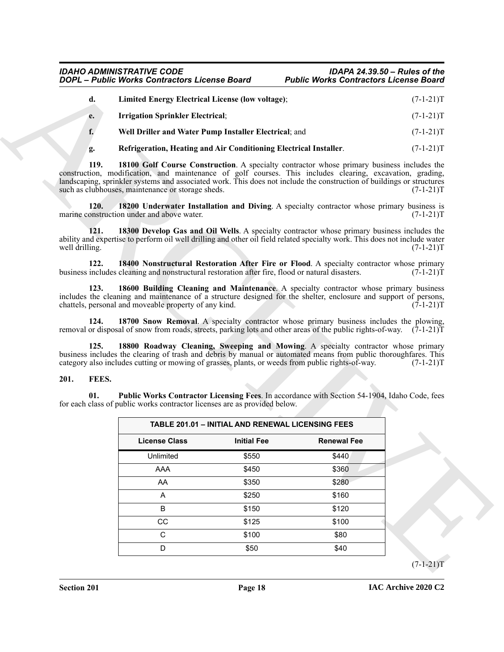<span id="page-17-13"></span><span id="page-17-9"></span><span id="page-17-8"></span><span id="page-17-7"></span><span id="page-17-6"></span><span id="page-17-5"></span><span id="page-17-4"></span>

|    | Limited Energy Electrical License (low voltage);      | $(7-1-21)T$ |
|----|-------------------------------------------------------|-------------|
| e. | <b>Irrigation Sprinkler Electrical;</b>               | $(7-1-21)T$ |
|    | Well Driller and Water Pump Installer Electrical; and | $(7-1-21)T$ |

#### <span id="page-17-12"></span><span id="page-17-11"></span><span id="page-17-10"></span><span id="page-17-3"></span><span id="page-17-2"></span><span id="page-17-1"></span><span id="page-17-0"></span>**201. FEES.**

| d.                     | <b>Limited Energy Electrical License (low voltage);</b>                                                                                                                                                                                                                                 |                                                          |                                                                                              | $(7-1-21)T$ |
|------------------------|-----------------------------------------------------------------------------------------------------------------------------------------------------------------------------------------------------------------------------------------------------------------------------------------|----------------------------------------------------------|----------------------------------------------------------------------------------------------|-------------|
|                        |                                                                                                                                                                                                                                                                                         |                                                          |                                                                                              |             |
| e.                     | <b>Irrigation Sprinkler Electrical;</b>                                                                                                                                                                                                                                                 |                                                          |                                                                                              | $(7-1-21)T$ |
| f.                     | Well Driller and Water Pump Installer Electrical; and                                                                                                                                                                                                                                   |                                                          |                                                                                              | $(7-1-21)T$ |
| g.                     | Refrigeration, Heating and Air Conditioning Electrical Installer.                                                                                                                                                                                                                       |                                                          |                                                                                              | $(7-1-21)T$ |
| 119.                   | construction, modification, and maintenance of golf courses. This includes clearing, excavation, grading,<br>landscaping, sprinkler systems and associated work. This does not include the construction of buildings or structures<br>such as clubhouses, maintenance or storage sheds. |                                                          | 18100 Golf Course Construction. A specialty contractor whose primary business includes the   | $(7-1-21)T$ |
| 120.                   | marine construction under and above water.                                                                                                                                                                                                                                              |                                                          | 18200 Underwater Installation and Diving. A specialty contractor whose primary business is   | $(7-1-21)T$ |
| 121.<br>well drilling. | ability and expertise to perform oil well drilling and other oil field related specialty work. This does not include water                                                                                                                                                              |                                                          | 18300 Develop Gas and Oil Wells. A specialty contractor whose primary business includes the  | $(7-1-21)T$ |
| 122.                   | business includes cleaning and nonstructural restoration after fire, flood or natural disasters.                                                                                                                                                                                        |                                                          | 18400 Nonstructural Restoration After Fire or Flood. A specialty contractor whose primary    | $(7-1-21)T$ |
| 123.                   | includes the cleaning and maintenance of a structure designed for the shelter, enclosure and support of persons,<br>chattels, personal and moveable property of any kind.                                                                                                               |                                                          | 18600 Building Cleaning and Maintenance. A specialty contractor whose primary business       | $(7-1-21)T$ |
|                        |                                                                                                                                                                                                                                                                                         |                                                          |                                                                                              |             |
| 124.                   | removal or disposal of snow from roads, streets, parking lots and other areas of the public rights-of-way. $(7-1-21)$ T                                                                                                                                                                 |                                                          | 18700 Snow Removal. A specialty contractor whose primary business includes the plowing,      |             |
| 125.                   | business includes the clearing of trash and debris by manual or automated means from public thoroughfares. This<br>category also includes cutting or mowing of grasses, plants, or weeds from public rights-of-way.                                                                     |                                                          | 18800 Roadway Cleaning, Sweeping and Mowing. A specialty contractor whose primary            | $(7-1-21)T$ |
| FEES.                  |                                                                                                                                                                                                                                                                                         |                                                          |                                                                                              |             |
| 01.                    | for each class of public works contractor licenses are as provided below.                                                                                                                                                                                                               |                                                          | Public Works Contractor Licensing Fees. In accordance with Section 54-1904, Idaho Code, fees |             |
|                        |                                                                                                                                                                                                                                                                                         | <b>TABLE 201.01 - INITIAL AND RENEWAL LICENSING FEES</b> |                                                                                              |             |
|                        | <b>License Class</b>                                                                                                                                                                                                                                                                    | <b>Initial Fee</b>                                       | <b>Renewal Fee</b>                                                                           |             |
|                        | Unlimited                                                                                                                                                                                                                                                                               | \$550                                                    | \$440                                                                                        |             |
|                        | AAA                                                                                                                                                                                                                                                                                     | \$450                                                    | \$360                                                                                        |             |
|                        | AA<br>A                                                                                                                                                                                                                                                                                 | \$350<br>\$250                                           | \$280<br>\$160                                                                               |             |
|                        | B                                                                                                                                                                                                                                                                                       | \$150                                                    | \$120                                                                                        |             |
| 201.                   | CC                                                                                                                                                                                                                                                                                      | \$125                                                    | \$100                                                                                        |             |
|                        | $\mathsf C$                                                                                                                                                                                                                                                                             | \$100                                                    | \$80                                                                                         |             |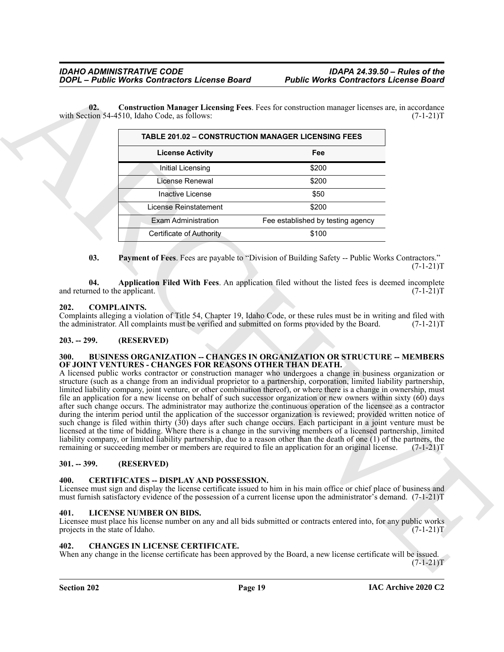**02. Construction Manager Licensing Fees**. Fees for construction manager licenses are, in accordance with Section 54-4510, Idaho Code, as follows:

<span id="page-18-11"></span>

| <b>TABLE 201.02 - CONSTRUCTION MANAGER LICENSING FEES</b> |                                   |  |  |
|-----------------------------------------------------------|-----------------------------------|--|--|
| <b>License Activity</b>                                   | Fee                               |  |  |
| Initial Licensing                                         | \$200                             |  |  |
| License Renewal                                           | \$200                             |  |  |
| Inactive License                                          | \$50                              |  |  |
| I icense Reinstatement                                    | \$200                             |  |  |
| <b>Fxam Administration</b>                                | Fee established by testing agency |  |  |
| Certificate of Authority                                  | \$100                             |  |  |

<span id="page-18-12"></span><span id="page-18-10"></span>**03. Payment of Fees**. Fees are payable to "Division of Building Safety -- Public Works Contractors."  $(7-1-21)T$ 

**04. Application Filed With Fees**. An application filed without the listed fees is deemed incomplete ned to the applicant. (7-1-21) and returned to the applicant.

#### <span id="page-18-9"></span><span id="page-18-0"></span>**202. COMPLAINTS.**

Complaints alleging a violation of Title 54, Chapter 19, Idaho Code, or these rules must be in writing and filed with the administrator. All complaints must be verified and submitted on forms provided by the Board. (7-1-21)T

#### <span id="page-18-1"></span>**203. -- 299. (RESERVED)**

#### <span id="page-18-7"></span><span id="page-18-2"></span>**300. BUSINESS ORGANIZATION -- CHANGES IN ORGANIZATION OR STRUCTURE -- MEMBERS OF JOINT VENTURES - CHANGES FOR REASONS OTHER THAN DEATH.**

**COPY**  $\vec{A} = \vec{B}$  (Material Contractor License Board Public Works Contractor License Board<br>
with section 44-5 in (the interded Material Pers. Position contracts multiply in the section section 44-5 in (1,1-1)<br>
with sec A licensed public works contractor or construction manager who undergoes a change in business organization or structure (such as a change from an individual proprietor to a partnership, corporation, limited liability partnership, limited liability company, joint venture, or other combination thereof), or where there is a change in ownership, must file an application for a new license on behalf of such successor organization or new owners within sixty (60) days after such change occurs. The administrator may authorize the continuous operation of the licensee as a contractor during the interim period until the application of the successor organization is reviewed; provided written notice of such change is filed within thirty (30) days after such change occurs. Each participant in a joint venture must be licensed at the time of bidding. Where there is a change in the surviving members of a licensed partnership, limited liability company, or limited liability partnership, due to a reason other than the death of one (1) of the partners, the remaining or succeeding member or members are required to file an application for an original licen remaining or succeeding member or members are required to file an application for an original license.

#### <span id="page-18-3"></span>**301. -- 399. (RESERVED)**

#### <span id="page-18-4"></span>**400. CERTIFICATES -- DISPLAY AND POSSESSION.**

Licensee must sign and display the license certificate issued to him in his main office or chief place of business and must furnish satisfactory evidence of the possession of a current license upon the administrator's demand. (7-1-21)T

#### <span id="page-18-13"></span><span id="page-18-5"></span>**401. LICENSE NUMBER ON BIDS.**

Licensee must place his license number on any and all bids submitted or contracts entered into, for any public works projects in the state of Idaho. (7-1-21)T

#### <span id="page-18-8"></span><span id="page-18-6"></span>**402. CHANGES IN LICENSE CERTIFICATE.**

When any change in the license certificate has been approved by the Board, a new license certificate will be issued.  $(7-1-21)T$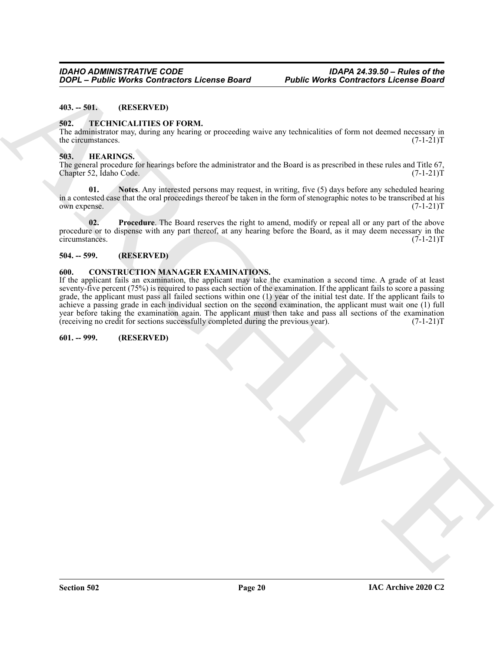#### <span id="page-19-0"></span>**403. -- 501. (RESERVED)**

#### <span id="page-19-10"></span><span id="page-19-1"></span>**502. TECHNICALITIES OF FORM.**

The administrator may, during any hearing or proceeding waive any technicalities of form not deemed necessary in the circumstances.  $(7-1-21)$ T the circumstances.

#### <span id="page-19-7"></span><span id="page-19-2"></span>**503. HEARINGS.**

The general procedure for hearings before the administrator and the Board is as prescribed in these rules and Title 67, Chapter 52, Idaho Code. (7-1-21)T

<span id="page-19-8"></span>**01. Notes**. Any interested persons may request, in writing, five (5) days before any scheduled hearing in a contested case that the oral proceedings thereof be taken in the form of stenographic notes to be transcribed at his own expense. (7-1-21)T

<span id="page-19-9"></span>**02. Procedure**. The Board reserves the right to amend, modify or repeal all or any part of the above procedure or to dispense with any part thereof, at any hearing before the Board, as it may deem necessary in the circumstances.  $(7-1-21)$ T circumstances.

#### <span id="page-19-3"></span>**504. -- 599. (RESERVED)**

#### <span id="page-19-6"></span><span id="page-19-4"></span>**600. CONSTRUCTION MANAGER EXAMINATIONS.**

**2006** - **Budde Works Contractors Leonse Board Public Works Contractors Leonse Board**<br>
40.3 - TECHNICALITIES OF PORM.<br>
The administration of PORM.<br>
The administration of the state of the state of the state of the state If the applicant fails an examination, the applicant may take the examination a second time. A grade of at least seventy-five percent (75%) is required to pass each section of the examination. If the applicant fails to score a passing grade, the applicant must pass all failed sections within one (1) year of the initial test date. If the applicant fails to achieve a passing grade in each individual section on the second examination, the applicant must wait one (1) full year before taking the examination again. The applicant must then take and pass all sections of the examination (receiving no credit for sections successfully completed during the previous year). (7-1-21) (receiving no credit for sections successfully completed during the previous year).

#### <span id="page-19-5"></span>**601. -- 999. (RESERVED)**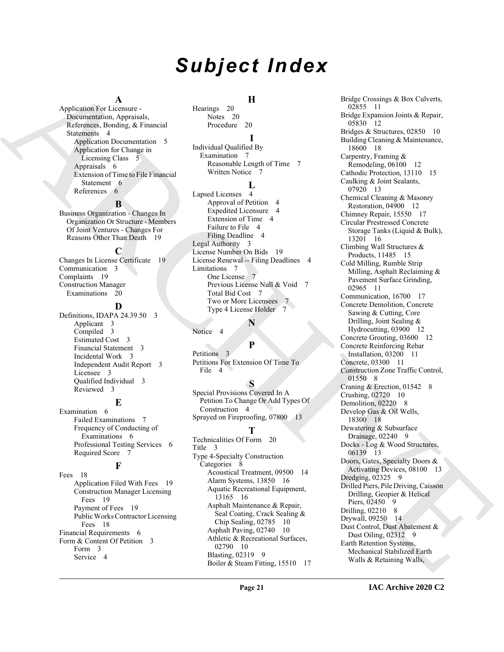# *Subject Index*

#### **A**

Application For Licensure - Documentation, Appraisals, References, Bonding, & Financial Statements 4 Application Documentation 5 Application for Change in Licensing Class 5 Appraisals 6 Extension of Time to File Financial Statement 6 References 6

#### **B**

Business Organization - Changes In Organization Or Structure - Members Of Joint Ventures - Changes For Reasons Other Than Death 19

#### **C**

Changes In License Certificate 19 Communication 3 Complaints 19 Construction Manager Examinations 20

#### **D**

Definitions, IDAPA 24.39.50 3 Applicant 3 Compiled 3 Estimated Cost 3 Financial Statement 3 Incidental Work 3 Independent Audit Report 3 Licensee 3 Qualified Individual 3 Reviewed 3

# **E**

Examination 6 Failed Examinations 7 Frequency of Conducting of Examinations 6 Professional Testing Services 6 Required Score 7

# **F**

Fees 18 Application Filed With Fees 19 Construction Manager Licensing Fees 19 Payment of Fees 19 Public Works Contractor Licensing Fees 18 Financial Requirements 6 Form & Content Of Petition 3 Form 3 Service 4

## **H**

Hearings 20 Notes 20 Procedure 20

#### **I**

Individual Qualified By Examination 7 Reasonable Length of Time 7 Written Notice 7

# **L**

Lapsed Licenses 4 Approval of Petition 4 Expedited Licensure 4 Extension of Time 4 Failure to File 4 Filing Deadline 4 Legal Authority 3 License Number On Bids 19 License Renewal -- Filing Deadlines 4 Limitations 7 One License 7 Previous License Null & Void 7 Total Bid Cost 7 Two or More Licensees 7 Type 4 License Holder 7

### **N**

**P**

Notice 4

Petitions 3 Petitions For Extension Of Time To File 4

#### **S**

Special Provisions Covered In A Petition To Change Or Add Types Of Construction 4 Sprayed on Fireproofing, 07800 13

# **T**

Technicalities Of Form 20 Title 3 Type 4-Specialty Construction Categories 8 Acoustical Treatment, 09500 14 Alarm Systems, 13850 16 Aquatic Recreational Equipment, 13165 16 Asphalt Maintenance & Repair, Seal Coating, Crack Sealing & Chip Sealing, 02785 10 Asphalt Paving, 02740 10 Athletic & Recreational Surfaces, 02790 10 Blasting, 02319 9 Boiler & Steam Fitting, 15510 17

[A](#page-3-5)[RC](#page-18-7)[HI](#page-3-14)[VE](#page-8-3) Bridge Crossings & Box Culverts, 02855 11 Bridge Expansion Joints & Repair, 05830 12 Bridges & Structures, 02850 10 Building Cleaning & Maintenance, 18600 18 Carpentry, Framing & Remodeling, 06100 12 Cathodic Protection, 13110 15 Caulking & Joint Sealants, 07920 13 Chemical Cleaning & Masonry Restoration, 04900 12 Chimney Repair, 15550 17 Circular Prestressed Concrete Storage Tanks (Liquid & Bulk), 13201 16 Climbing Wall Structures & Products, 11485 15 Cold Milling, Rumble Strip Milling, Asphalt Reclaiming & Pavement Surface Grinding, 02965 11 Communication, 16700 17 Concrete Demolition, Concrete Sawing & Cutting, Core Drilling, Joint Sealing & Hydrocutting, 03900 12 Concrete Grouting, 03600 12 Concrete Reinforcing Rebar Installation, 03200 11 Concrete, 03300 11 Construction Zone Traffic Control, 01550 8 Craning & Erection, 01542 8 Crushing, 02720 10 Demolition, 02220 8 Develop Gas & Oil Wells, 18300 18 Dewatering & Subsurface Drainage, 02240 9 Docks - Log & Wood Structures, 06139 13 Doors, Gates, Specialty Doors & Activating Devices, 08100 13 Dredging, 02325 9 Drilled Piers, Pile Driving, Caisson Drilling, Geopier & Helical Piers, 02450 9 Drilling, 02210 8 Drywall, 09250 14 Dust Control, Dust Abatement & Dust Oiling, 02312 9 Earth Retention Systems, Mechanical Stabilized Earth Walls & Retaining Walls,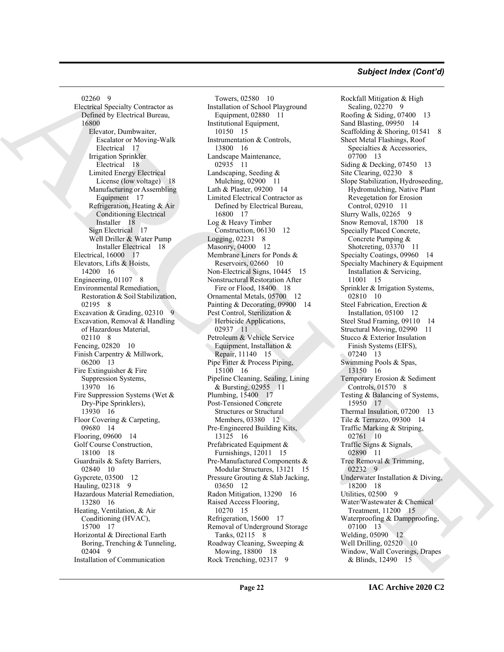#### *Subject Index (Cont'd)*

Control School (metamoral from a first stationary first stationary in the second of the second of the second of the second of the second of the second of the second of the second of the second of the second of the second 02260 9 Electrical Specialty Contractor as Defined by Electrical Bureau, 16800 Elevator, Dumbwaiter, Escalator or Moving-Walk Electrical 17 Irrigation Sprinkler Electrical 18 Limited Energy Electrical License (low voltage) 18 Manufacturing or Assembling Equipment 17 Refrigeration, Heating & Air Conditioning Electrical Installer 18 Sign Electrical 17 Well Driller & Water Pump Installer Electrical 18 Electrical, 16000 17 Elevators, Lifts & Hoists, 14200 16 Engineering, 01107 8 Environmental Remediation, Restoration & Soil Stabilization, 02195 8 Excavation & Grading, 02310 9 Excavation, Removal & Handling of Hazardous Material, 02110 8 Fencing, 02820 10 Finish Carpentry & Millwork, 06200 13 Fire Extinguisher & Fire Suppression Systems, 13970 16 Fire Suppression Systems (Wet & Dry-Pipe Sprinklers), 13930 16 Floor Covering & Carpeting, 09680 14 Flooring, 09600 14 Golf Course Construction, 18100 18 Guardrails & Safety Barriers, 02840 10 Gypcrete, 03500 12 Hauling, 02318 9 Hazardous Material Remediation, 13280 16 Heating, Ventilation, & Air Conditioning (HVAC), 15700 17 Horizontal & Directional Earth Boring, Trenching & Tunneling, 02404 9 Installation of Communication

Towers, 02580 10 Installation of School Playground Equipment, 02880 11 Institutional Equipment, 10150 15 Instrumentation & Controls, 13800 16 Landscape Maintenance, 02935 11 Landscaping, Seeding & Mulching, 02900 11 Lath & Plaster, 09200 14 Limited Electrical Contractor as Defined by Electrical Bureau, 16800 17 Log & Heavy Timber Construction, 06130 12 Logging, 02231 8 Masonry, 04000 12 Membrane Liners for Ponds & Reservoirs, 02660 10 Non-Electrical Signs, 10445 15 Nonstructural Restoration After Fire or Flood, 18400 18 Ornamental Metals, 05700 12 Painting & Decorating, 09900 14 Pest Control, Sterilization & Herbicide Applications, 02937 11 Petroleum & Vehicle Service Equipment, Installation & Repair, 11140 15 Pipe Fitter & Process Piping, 15100 16 Pipeline Cleaning, Sealing, Lining & Bursting, 02955 11 Plumbing, 15400 17 Post-Tensioned Concrete Structures or Structural Members, 03380 12 Pre-Engineered Building Kits, 13125 16 Prefabricated Equipment & Furnishings, 12011 15 Pre-Manufactured Components & Modular Structures, 13121 15 Pressure Grouting & Slab Jacking, 03650 12 Radon Mitigation, 13290 16 Raised Access Flooring, 10270 15 Refrigeration, 15600 17 Removal of Underground Storage Tanks, 02115 8 Roadway Cleaning, Sweeping & Mowing, 18800 18 Rock Trenching, 02317 9

Rockfall Mitigation & High Scaling, 02270 9 Roofing & Siding, 07400 13 Sand Blasting, 09950 14 Scaffolding & Shoring, 01541 8 Sheet Metal Flashings, Roof Specialties & Accessories, 07700 13 Siding & Decking, 07450 13 Site Clearing, 02230 8 Slope Stabilization, Hydroseeding, Hydromulching, Native Plant Revegetation for Erosion Control, 02910 11 Slurry Walls, 02265 9 Snow Removal, 18700 18 Specially Placed Concrete, Concrete Pumping & Shotcreting, 03370 11 Specialty Coatings, 09960 14 Specialty Machinery & Equipment Installation & Servicing, 11001 15 Sprinkler & Irrigation Systems, 02810 10 Steel Fabrication, Erection & Installation, 05100 12 Steel Stud Framing, 09110 14 Structural Moving, 02990 11 Stucco & Exterior Insulation Finish Systems (EIFS), 07240 13 Swimming Pools & Spas, 13150 16 Temporary Erosion & Sediment Controls, 01570 8 Testing & Balancing of Systems, 15950 17 Thermal Insulation, 07200 13 Tile & Terrazzo, 09300 14 Traffic Marking & Striping, 02761 10 Traffic Signs & Signals, 02890 11 Tree Removal & Trimming, 02232 9 Underwater Installation & Diving, 18200 18 Utilities, 02500 9 Water/Wastewater & Chemical Treatment, 11200 15 Waterproofing & Dampproofing, 07100 13 Welding, 05090 12 Well Drilling, 02520 10 Window, Wall Coverings, Drapes & Blinds, 12490 15